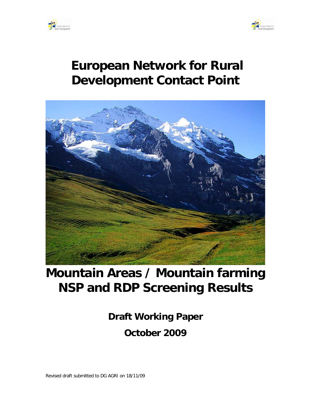



# **European Network for Rural Development Contact Point**



# **Mountain Areas / Mountain farming NSP and RDP Screening Results**

**Draft Working Paper October 2009**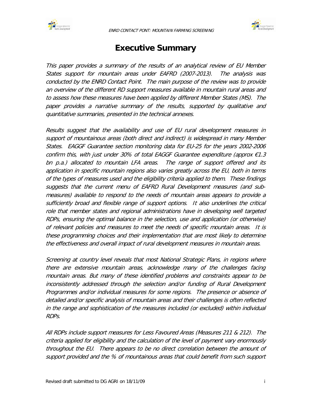<span id="page-1-0"></span>



# **Executive Summary**

This paper provides a summary of the results of an analytical review of EU Member States support for mountain areas under EAFRD (2007-2013). The analysis was conducted by the ENRD Contact Point. The main purpose of the review was to provide an overview of the different RD support measures available in mountain rural areas and to assess how these measures have been applied by different Member States (MS). The paper provides a narrative summary of the results, supported by qualitative and quantitative summaries, presented in the technical annexes.

Results suggest that the availability and use of EU rural development measures in support of mountainous areas (both direct and indirect) is widespread in many Member States. EAGGF Guarantee section monitoring data for EU-25 for the years 2002-2006 confirm this, with just under 30% of total EAGGF Guarantee expenditure (approx €1.3 bn p.a.) allocated to mountain LFA areas. The range of support offered and its application in specific mountain regions also varies greatly across the EU, both in terms of the types of measures used and the eligibility criteria applied to them. These findings suggests that the current menu of EAFRD Rural Development measures (and submeasures) available to respond to the needs of mountain areas appears to provide a sufficiently broad and flexible range of support options. It also underlines the critical role that member states and regional administrations have in developing well targeted RDPs, ensuring the optimal balance in the selection, use and application (or otherwise) of relevant policies and measures to meet the needs of specific mountain areas. It is these programming choices and their implementation that are most likely to determine the effectiveness and overall impact of rural development measures in mountain areas.

Screening at country level reveals that most National Strategic Plans, in regions where there are extensive mountain areas, acknowledge many of the challenges facing mountain areas. But many of these identified problems and constraints appear to be inconsistently addressed through the selection and/or funding of Rural Development Programmes and/or individual measures for some regions. The presence or absence of detailed and/or specific analysis of mountain areas and their challenges is often reflected in the range and sophistication of the measures included (or excluded) within individual RDPs.

All RDPs include support measures for Less Favoured Areas (Measures 211 & 212). The criteria applied for eligibility and the calculation of the level of payment vary enormously throughout the EU. There appears to be no direct correlation between the amount of support provided and the % of mountainous areas that could benefit from such support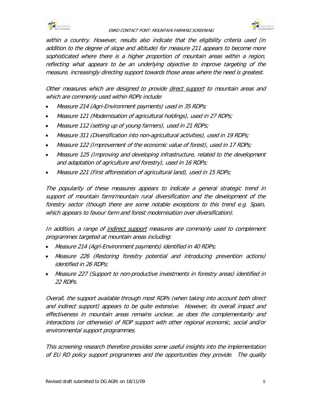



within a country. However, results also indicate that the eligibility criteria used (in addition to the degree of slope and altitude) for measure 211 appears to become more sophisticated where there is a higher proportion of mountain areas within a region, reflecting what appears to be an underlying objective to improve targeting of the measure, increasingly directing support towards those areas where the need is greatest.

Other measures which are designed to provide <u>direct support</u> to mountain areas and which are commonly used within RDPs include:

- Measure 214 (Agri-Environment payments) used in 35 RDPs;
- Measure 121 (Modernisation of agricultural holdings), used in 27 RDPs;
- Measure 112 (setting up of young farmers), used in 21 RDPs;
- Measure 311 (Diversification into non-agricultural activities), used in 19 RDPs;
- Measure 122 (Improvement of the economic value of forest), used in 17 RDPs;
- Measure 125 (Improving and developing infrastructure, related to the development and adaptation of agriculture and forestry), used in 16 RDPs;
- Measure 221 (First afforestation of agricultural land), used in 15 RDPs;

The popularity of these measures appears to indicate a general strategic trend in support of mountain farm/mountain rural diversification and the development of the forestry sector (though there are some notable exceptions to this trend e.g. Spain, which appears to favour farm and forest modernisation over diversification).

In addition, a range of <u>indirect support</u> measures are commonly used to complement programmes targeted at mountain areas including:

- Measure 214 (Agri-Environment payments) identified in 40 RDPs;
- Measure 226 (Restoring forestry potential and introducing prevention actions) identified in 26 RDPs;
- Measure 227 (Support to non-productive investments in forestry areas) identified in 22 RDPs.

Overall, the support available through most RDPs (when taking into account both direct and indirect support) appears to be quite extensive. However, its overall impact and effectiveness in mountain areas remains unclear, as does the complementarity and interactions (or otherwise) of RDP support with other regional economic, social and/or environmental support programmes.

This screening research therefore provides some useful insights into the implementation of EU RD policy support programmes and the opportunities they provide. The quality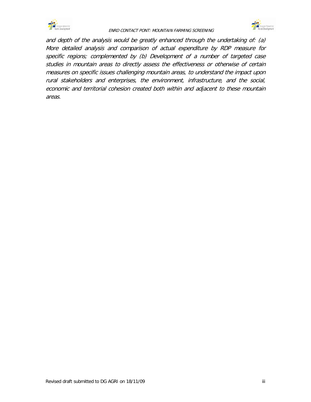



and depth of the analysis would be greatly enhanced through the undertaking of: (a) More detailed analysis and comparison of actual expenditure by RDP measure for specific regions; complemented by (b) Development of a number of targeted case studies in mountain areas to directly assess the effectiveness or otherwise of certain measures on specific issues challenging mountain areas, to understand the impact upon rural stakeholders and enterprises, the environment, infrastructure, and the social, economic and territorial cohesion created both within and adjacent to these mountain areas.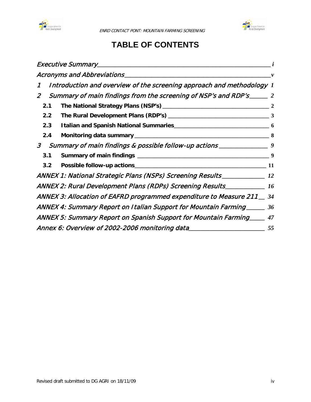



# **TABLE OF CONTENTS**

|                                                                                               | $\boldsymbol{\nu}$ |
|-----------------------------------------------------------------------------------------------|--------------------|
| Introduction and overview of the screening approach and methodology 1<br>$\mathcal{I}$        |                    |
| Summary of main findings from the screening of NSP's and RDP's ______ 2<br>$\overline{2}$     |                    |
| 2.1                                                                                           | $\overline{2}$     |
| 2.2                                                                                           |                    |
| 2.3                                                                                           |                    |
| 2.4                                                                                           |                    |
| Summary of main findings & possible follow-up actions _____________________9<br>$\mathcal{S}$ |                    |
| 3.1                                                                                           | 9                  |
| 3.2                                                                                           | 11                 |
| ANNEX 1: National Strategic Plans (NSPs) Screening Results _____________________ 12           |                    |
| ANNEX 2: Rural Development Plans (RDPs) Screening Results____________ 16                      |                    |
| ANNEX 3: Allocation of EAFRD programmed expenditure to Measure 211 __ 34                      |                    |
| ANNEX 4: Summary Report on Italian Support for Mountain Farming                               | 36                 |
| ANNEX 5: Summary Report on Spanish Support for Mountain Farming                               | 47                 |
| Annex 6: Overview of 2002-2006 monitoring data                                                | 55                 |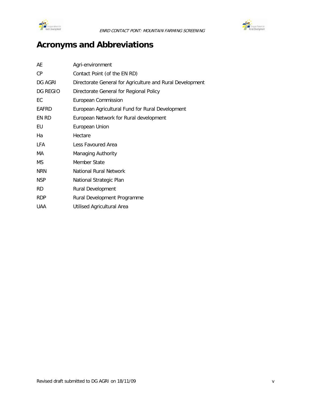



# <span id="page-5-0"></span>**Acronyms and Abbreviations**

| AE         | Agri-environment                                          |
|------------|-----------------------------------------------------------|
| СP         | Contact Point (of the EN RD)                              |
| DG AGRI    | Directorate General for Agriculture and Rural Development |
| DG REGIO   | Directorate General for Regional Policy                   |
| ЕC         | European Commission                                       |
| EAFRD      | European Agricultural Fund for Rural Development          |
| EN RD      | European Network for Rural development                    |
| EU         | European Union                                            |
| Ha         | Hectare                                                   |
| <b>LFA</b> | Less Favoured Area                                        |
| МA         | Managing Authority                                        |
| МS         | Member State                                              |
| <b>NRN</b> | National Rural Network                                    |
| <b>NSP</b> | National Strategic Plan                                   |
| RD.        | <b>Rural Development</b>                                  |
| <b>RDP</b> | Rural Development Programme                               |
| <b>UAA</b> | Utilised Agricultural Area                                |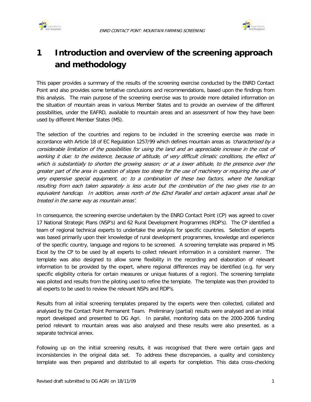



# <span id="page-6-0"></span>**1 Introduction and overview of the screening approach and methodology**

This paper provides a summary of the results of the screening exercise conducted by the ENRD Contact Point and also provides some tentative conclusions and recommendations, based upon the findings from this analysis. The main purpose of the screening exercise was to provide more detailed information on the situation of mountain areas in various Member States and to provide an overview of the different possibilities, under the EAFRD, available to mountain areas and an assessment of how they have been used by different Member States (MS).

The selection of the countries and regions to be included in the screening exercise was made in accordance with Article 18 of EC Regulation 1257/99 which defines mountain areas as 'characterised by a considerable limitation of the possibilities for using the land and an appreciable increase in the cost of working it due: to the existence, because of altitude, of very difficult climatic conditions, the effect of which is substantially to shorten the growing season; or at a lower altitude, to the presence over the greater part of the area in question of slopes too steep for the use of machinery or requiring the use of very expensive special equipment, or; to a combination of these two factors, where the handicap resulting from each taken separately is less acute but the combination of the two gives rise to an equivalent handicap. In addition, areas north of the 62nd Parallel and certain adjacent areas shall be treated in the same way as mountain areas'.

In consequence, the screening exercise undertaken by the ENRD Contact Point (CP) was agreed to cover 17 National Strategic Plans (NSP's) and 62 Rural Development Programmes (RDP's). The CP identified a team of regional technical experts to undertake the analysis for specific countries. Selection of experts was based primarily upon their knowledge of rural development programmes, knowledge and experience of the specific country, language and regions to be screened. A screening template was prepared in MS Excel by the CP to be used by all experts to collect relevant information in a consistent manner. The template was also designed to allow some flexibility in the recording and elaboration of relevant information to be provided by the expert, where regional differences may be identified (e.g. for very specific eligibility criteria for certain measures or unique features of a region). The screening template was piloted and results from the piloting used to refine the template. The template was then provided to all experts to be used to review the relevant NSPs and RDP's.

Results from all initial screening templates prepared by the experts were then collected, collated and analysed by the Contact Point Permanent Team. Preliminary (partial) results were analysed and an initial report developed and presented to DG Agri. In parallel, monitoring data on the 2000-2006 funding period relevant to mountain areas was also analysed and these results were also presented, as a separate technical annex.

Following up on the initial screening results, it was recognised that there were certain gaps and inconsistencies in the original data set. To address these discrepancies, a quality and consistency template was then prepared and distributed to all experts for completion. This data cross-checking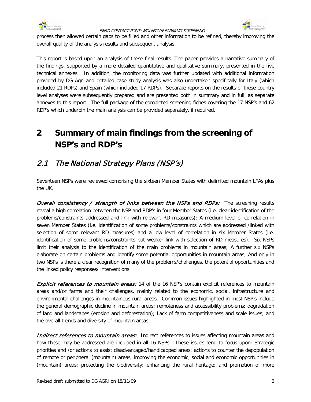



process then allowed certain gaps to be filled and other information to be refined, thereby improving the overall quality of the analysis results and subsequent analysis.

This report is based upon an analysis of these final results. The paper provides a narrative summary of the findings, supported by a more detailed quantitative and qualitative summary, presented in the five technical annexes. In addition, the monitoring data was further updated with additional information provided by DG Agri and detailed case study analysis was also undertaken specifically for Italy (which included 21 RDPs) and Spain (which included 17 RDPs). Separate reports on the results of these country level analyses were subsequently prepared and are presented both in summary and in full, as separate annexes to this report. The full package of the completed screening fiches covering the 17 NSP's and 62 RDP's which underpin the main analysis can be provided separately, if required.

# <span id="page-7-0"></span>**2 Summary of main findings from the screening of NSP's and RDP's**

## <span id="page-7-1"></span>2.1 The National Strategy Plans (NSP's)

Seventeen NSPs were reviewed comprising the sixteen Member States with delimited mountain LFAs plus the UK.

**Overall consistency / strength of links between the NSPs and RDPs:** The screening results reveal a high correlation between the NSP and RDP's in four Member States (i.e. clear identification of the problems/constraints addressed and link with relevant RD measures); A medium level of correlation in seven Member States (i.e. identification of some problems/constraints which are addressed /linked with selection of some relevant RD measures) and a low level of correlation in six Member States (i.e. identification of some problems/constraints but weaker link with selection of RD measures). Six NSPs limit their analysis to the identification of the main problems in mountain areas; A further six NSPs elaborate on certain problems and identify some potential opportunities in mountain areas; And only in two NSPs is there a clear recognition of many of the problems/challenges, the potential opportunities and the linked policy responses/ interventions.

**Explicit references to mountain areas:** 14 of the 16 NSP's contain explicit references to mountain areas and/or farms and their challenges, mainly related to the economic, social, infrastructure and environmental challenges in mountainous rural areas. Common issues highlighted in most NSP's include the general demographic decline in mountain areas; remoteness and accessibility problems; degradation of land and landscapes (erosion and deforestation); Lack of farm competitiveness and scale issues; and the overall trends and diversity of mountain areas.

**Indirect references to mountain areas:** Indirect references to issues affecting mountain areas and how these may be addressed are included in all 16 NSPs. These issues tend to focus upon: Strategic priorities and /or actions to assist disadvantaged/handicapped areas; actions to counter the depopulation of remote or peripheral (mountain) areas; improving the economic, social and economic opportunities in (mountain) areas; protecting the biodiversity; enhancing the rural heritage; and promotion of more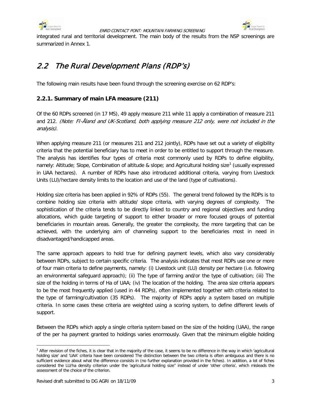





integrated rural and territorial development. The main body of the results from the NSP screenings are summarized in Annex 1.

## <span id="page-8-0"></span>2.2 The Rural Development Plans (RDP's)

The following main results have been found through the screening exercise on 62 RDP's:

### **2.2.1. Summary of main LFA measure (211)**

Of the 60 RDPs screened (in 17 MS), 49 apply measure 211 while 11 apply a combination of measure 211 and 212. (Note: FI-Åland and UK-Scotland, both applying measure 212 only, were not included in the analysis).

When applying measure 211 (or measures 211 and 212 jointly), RDPs have set out a variety of eligibility criteria that the potential beneficiary has to meet in order to be entitled to support through the measure. The analysis has identifies four types of criteria most commonly used by RDPs to define eligibility, namely: Altitude; Slope, Combination of altitude & slope; and Agricultural holding size<sup>[1](#page-8-1)</sup> (usually expressed in UAA hectares). A number of RDPs have also introduced additional criteria, varying from Livestock Units (LU)/hectare density limits to the location and use of the land (type of cultivations).

Holding size criteria has been applied in 92% of RDPs (55). The general trend followed by the RDPs is to combine holding size criteria with altitude/ slope criteria, with varying degrees of complexity. The sophistication of the criteria tends to be directly linked to country and regional objectives and funding allocations, which guide targeting of support to either broader or more focused groups of potential beneficiaries in mountain areas. Generally, the greater the complexity, the more targeting that can be achieved, with the underlying aim of channeling support to the beneficiaries most in need in disadvantaged/handicapped areas.

The same approach appears to hold true for defining payment levels, which also vary considerably between RDPs, subject to certain specific criteria. The analysis indicates that most RDPs use one or more of four main criteria to define payments, namely: (i) Livestock unit (LU) density per hectare (i.e. following an environmental safeguard approach); (ii) The type of farming and/or the type of cultivation; (iii) The size of the holding in terms of Ha of UAA; (iv) The location of the holding. The area size criteria appears to be the most frequently applied (used in 44 RDPs), often implemented together with criteria related to the type of farming/cultivation (35 RDPs). The majority of RDPs apply a system based on multiple criteria. In some cases these criteria are weighted using a scoring system, to define different levels of support.

Between the RDPs which apply a single criteria system based on the size of the holding (UAA), the range of the per ha payment granted to holdings varies enormously. Given that the minimum eligible holding

<span id="page-8-1"></span> $\overline{a}$ <sup>1</sup> After revision of the fiches, it is clear that in the majority of the case, it seems to be no difference in the way in which 'agricultural holding size' and 'UAA' criteria have been considered The distinction between the two criteria is often ambiguous and there is no sufficient evidence about what the difference consists in (no further explanation provided in the fiches). In addition, a lot of fiches considered the LU/ha density criterion under the 'agricultural holding size'' instead of under 'other criteria', which misleads the assessment of the choice of the criterion.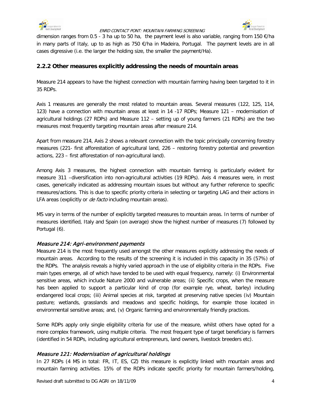



dimension ranges from 0.5 - 3 ha up to 50 ha, the payment level is also variable, ranging from 150 €/ha in many parts of Italy, up to as high as 750 €/ha in Madeira, Portugal. The payment levels are in all cases digressive (i.e. the larger the holding size, the smaller the payment/Ha).

### **2.2.2 Other measures explicitly addressing the needs of mountain areas**

Measure 214 appears to have the highest connection with mountain farming having been targeted to it in 35 RDPs.

Axis 1 measures are generally the most related to mountain areas. Several measures (122, 125, 114, 123) have a connection with mountain areas at least in 14 -17 RDPs; Measure 121 – modernisation of agricultural holdings (27 RDPs) and Measure 112 – setting up of young farmers (21 RDPs) are the two measures most frequently targeting mountain areas after measure 214.

Apart from measure 214, Axis 2 shows a relevant connection with the topic principally concerning forestry measures (221- first afforestation of agricultural land, 226 – restoring forestry potential and prevention actions, 223 – first afforestation of non-agricultural land).

Among Axis 3 measures, the highest connection with mountain farming is particularly evident for measure 311 –diversification into non-agricultural activities (19 RDPs). Axis 4 measures were, in most cases, generically indicated as addressing mountain issues but without any further reference to specific measures/actions. This is due to specific priority criteria in selecting or targeting LAG and their actions in LFA areas (explicitly or *de facto* including mountain areas).

MS vary in terms of the number of explicitly targeted measures to mountain areas. In terms of number of measures identified, Italy and Spain (on average) show the highest number of measures (7) followed by Portugal (6).

### Measure 214: Agri-environment payments

Measure 214 is the most frequently used amongst the other measures explicitly addressing the needs of mountain areas. According to the results of the screening it is included in this capacity in 35 (57%) of the RDPs. The analysis reveals a highly varied approach in the use of eligibility criteria in the RDPs. Five main types emerge, all of which have tended to be used with equal frequency, namely: (i) Environmental sensitive areas, which include Nature 2000 and vulnerable areas; (ii) Specific crops, when the measure has been applied to support a particular kind of crop (for example rye, wheat, barley) including endangered local crops; (iii) Animal species at risk, targeted at preserving native species (iv) Mountain pasture; wetlands, grasslands and meadows and specific holdings, for example those located in environmental sensitive areas; and, (v) Organic farming and environmentally friendly practices.

Some RDPs apply only single eligibility criteria for use of the measure, whilst others have opted for a more complex framework, using multiple criteria. The most frequent type of target beneficiary is farmers (identified in 54 RDPs, including agricultural entrepreneurs, land owners, livestock breeders etc).

### Measure 121: Modernisation of agricultural holdings

In 27 RDPs (4 MS in total: FR, IT, ES, CZ) this measure is explicitly linked with mountain areas and mountain farming activities. 15% of the RDPs indicate specific priority for mountain farmers/holding,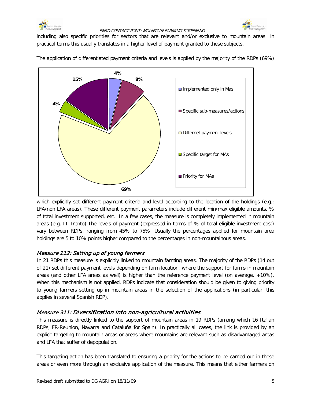



including also specific priorities for sectors that are relevant and/or exclusive to mountain areas. In practical terms this usually translates in a higher level of payment granted to these subjects.



The application of differentiated payment criteria and levels is applied by the majority of the RDPs (69%)

which explicitly set different payment criteria and level according to the location of the holdings (e.g.: LFA/non LFA areas). These different payment parameters include different min/max eligible amounts, % of total investment supported, etc. In a few cases, the measure is completely implemented in mountain areas (e.g. IT-Trento).The levels of payment (expressed in terms of % of total eligible investment cost) vary between RDPs, ranging from 45% to 75%. Usually the percentages applied for mountain area holdings are 5 to 10% points higher compared to the percentages in non-mountainous areas.

### Measure 112: Setting up of young farmers

In 21 RDPs this measure is explicitly linked to mountain farming areas. The majority of the RDPs (14 out of 21) set different payment levels depending on farm location, where the support for farms in mountain areas (and other LFA areas as well) is higher than the reference payment level (on average, +10%). When this mechanism is not applied, RDPs indicate that consideration should be given to giving priority to young farmers setting up in mountain areas in the selection of the applications (in particular, this applies in several Spanish RDP).

### Measure 311: Diversification into non-agricultural activities

This measure is directly linked to the support of mountain areas in 19 RDPs (among which 16 Italian RDPs, FR-Reunion, Navarra and Cataluña for Spain). In practically all cases, the link is provided by an explicit targeting to mountain areas or areas where mountains are relevant such as disadvantaged areas and LFA that suffer of depopulation.

This targeting action has been translated to ensuring a priority for the actions to be carried out in these areas or even more through an exclusive application of the measure. This means that either farmers on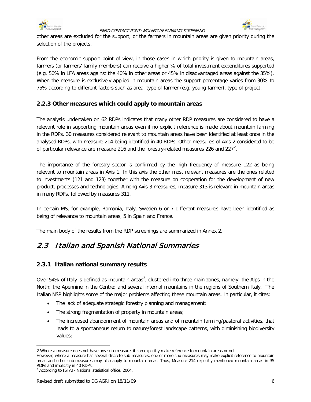



other areas are excluded for the support, or the farmers in mountain areas are given priority during the selection of the projects.

From the economic support point of view, in those cases in which priority is given to mountain areas, farmers (or farmers' family members) can receive a higher % of total investment expenditures supported (e.g. 50% in LFA areas against the 40% in other areas or 45% in disadvantaged areas against the 35%). When the measure is exclusively applied in mountain areas the support percentage varies from 30% to 75% according to different factors such as area, type of farmer (e.g. young farmer), type of project.

### **2.2.3 Other measures which could apply to mountain areas**

The analysis undertaken on 62 RDPs indicates that many other RDP measures are considered to have a relevant role in supporting mountain areas even if no explicit reference is made about mountain farming in the RDPs. 30 measures considered relevant to mountain areas have been identified at least once in the analysed RDPs, with measure 214 being identified in 40 RDPs. Other measures of Axis 2 considered to be of particular relevance are measure [2](#page-11-1)16 and the forestry-related measures 226 and 227 $^2$ .

The importance of the forestry sector is confirmed by the high frequency of measure 122 as being relevant to mountain areas in Axis 1. In this axis the other most relevant measures are the ones related to investments (121 and 123) together with the measure on cooperation for the development of new product, processes and technologies. Among Axis 3 measures, measure 313 is relevant in mountain areas in many RDPs, followed by measures 311.

In certain MS, for example, Romania, Italy, Sweden 6 or 7 different measures have been identified as being of relevance to mountain areas, 5 in Spain and France.

The main body of the results from the RDP screenings are summarized in Annex 2.

### <span id="page-11-0"></span>2.3 Italian and Spanish National Summaries

### **2.3.1 Italian national summary results**

Over 54% of Italy is defined as mountain areas<sup>[3](#page-11-1)</sup>, clustered into three main zones, namely: the Alps in the North; the Apennine in the Centre; and several internal mountains in the regions of Southern Italy. The Italian NSP highlights some of the major problems affecting these mountain areas. In particular, it cites:

- The lack of adequate strategic forestry planning and management;
- The strong fragmentation of property in mountain areas;
- The increased abandonment of mountain areas and of mountain farming/pastoral activities, that leads to a spontaneous return to nature/forest landscape patterns, with diminishing biodiversity values;

 $\overline{a}$ 2 Where a measure does not have any sub-measure, it can explicitly make reference to mountain areas or not.

<span id="page-11-1"></span>However, where a measure has several discrete sub-measures, one or more sub-measures may make explicit reference to mountain areas and other sub-measures may also apply to mountain areas. Thus, Measure 214 explicitly mentioned mountain areas in 35 RDPs and implicitly in 40 RDPs.

<sup>&</sup>lt;sup>3</sup> According to ISTAT- National statistical office, 2004.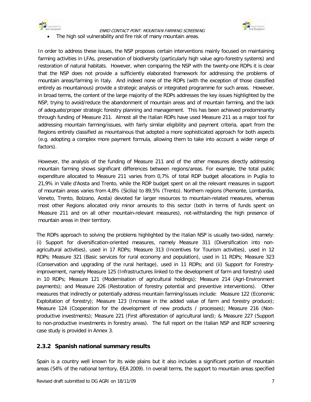



The high soil vulnerability and fire risk of many mountain areas.

In order to address these issues, the NSP proposes certain interventions mainly focused on maintaining farming activities in LFAs, preservation of biodiversity (particularly high value agro-forestry systems) and restoration of natural habitats. However, when comparing the NSP with the twenty-one RDPs it is clear that the NSP does not provide a sufficiently elaborated framework for addressing the problems of mountain areas/farming in Italy. And indeed none of the RDPs (with the exception of those classified entirely as mountainous) provide a strategic analysis or integrated programme for such areas. However, in broad terms, the content of the large majority of the RDPs addresses the key issues highlighted by the NSP, trying to avoid/reduce the abandonment of mountain areas and of mountain farming, and the lack of adequate/proper strategic forestry planning and management. This has been achieved predominantly through funding of Measure 211. Almost all the Italian RDPs have used Measure 211 as a major tool for addressing mountain farming/issues, with fairly similar eligibility and payment criteria, apart from the Regions entirely classified as mountainous that adopted a more sophisticated approach for both aspects (e.g. adopting a complex more payment formula, allowing them to take into account a wider range of factors).

However, the analysis of the funding of Measure 211 and of the other measures directly addressing mountain farming shows significant differences between regions/areas. For example, the total public expenditure allocated to Measure 211 varies from 0,7% of total RDP budget allocations in Puglia to 21,9% in Valle d'Aosta and Trento, while the RDP budget spent on all the relevant measures in support of mountain areas varies from 4,8% (Sicilia) to 89,5% (Trento). Northern regions (Piemonte, Lombardia, Veneto, Trento, Bolzano, Aosta) devoted far larger resources to mountain-related measures, whereas most other Regions allocated only minor amounts to this sector (both in terms of funds spent on Measure 211 and on all other mountain-relevant measures), not-withstanding the high presence of mountain areas in their territory.

The RDPs approach to solving the problems highlighted by the Italian NSP is usually two-sided, namely: (i) Support for diversification-oriented measures, namely Measure 311 (Diversification into nonagricultural activities), used in 17 RDPs; Measure 313 (Incentives for Tourism activities), used in 12 RDPs; Measure 321 (Basic services for rural economy and population), used in 11 RDPs; Measure 323 (Conservation and upgrading of the rural heritage), used in 11 RDPs; and (ii) Support for Forestryimprovement, namely Measure 125 (Infrastructures linked to the development of farm and forestry) used in 10 RDPs; Measure 121 (Modernisation of agricultural holdings); Measure 214 (Agri-Environment payments); and Measure 226 (Restoration of forestry potential and preventive interventions). Other measures that indirectly or potentially address mountain farming/issues include: Measure 122 (Economic Exploitation of forestry); Measure 123 (Increase in the added value of farm and forestry produce); Measure 124 (Cooperation for the development of new products / processes); Measure 216 (Nonproductive investments); Measure 221 (First afforestation of agricultural land); & Measure 227 (Support to non-productive investments in forestry areas). The full report on the Italian NSP and RDP screening case study is provided in Annex 3.

### **2.3.2 Spanish national summary results**

Spain is a country well known for its wide plains but it also includes a significant portion of mountain areas (54% of the national territory, EEA 2009). In overall terms, the support to mountain areas specified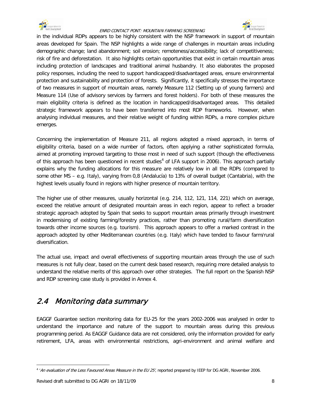



in the individual RDPs appears to be highly consistent with the NSP framework in support of mountain areas developed for Spain. The NSP highlights a wide range of challenges in mountain areas including demographic change; land abandonment; soil erosion; remoteness/accessibility; lack of competitiveness; risk of fire and deforestation. It also highlights certain opportunities that exist in certain mountain areas including protection of landscapes and traditional animal husbandry. It also elaborates the proposed policy responses, including the need to support handicapped/disadvantaged areas, ensure environmental protection and sustainability and protection of forests. Significantly, it specifically stresses the importance of two measures in support of mountain areas, namely Measure 112 (Setting up of young farmers) and Measure 114 (Use of advisory services by farmers and forest holders). For both of these measures the main eligibility criteria is defined as the location in handicapped/disadvantaged areas. This detailed strategic framework appears to have been transferred into most RDP frameworks. However, when analysing individual measures, and their relative weight of funding within RDPs, a more complex picture emerges.

Concerning the implementation of Measure 211, all regions adopted a mixed approach, in terms of eligibility criteria, based on a wide number of factors, often applying a rather sophisticated formula, aimed at promoting improved targeting to those most in need of such support (though the effectiveness of this approach has been questioned in recent studies<sup>[4](#page-13-1)</sup> of LFA support in 2006). This approach partially explains why the funding allocations for this measure are relatively low in all the RDPs (compared to some other MS – e.g. Italy), varying from 0,8 (Andalucía) to 13% of overall budget (Cantabria), with the highest levels usually found in regions with higher presence of mountain territory.

The higher use of other measures, usually horizontal (e.g. 214, 112, 121, 114, 221) which on average, exceed the relative amount of designated mountain areas in each region, appear to reflect a broader strategic approach adopted by Spain that seeks to support mountain areas primarily through investment in modernising of existing farming/forestry practices, rather than promoting rural/farm diversification towards other income sources (e.g. tourism). This approach appears to offer a marked contrast in the approach adopted by other Mediterranean countries (e.g. Italy) which have tended to favour farm/rural diversification.

The actual use, impact and overall effectiveness of supporting mountain areas through the use of such measures is not fully clear, based on the current desk based research, requiring more detailed analysis to understand the relative merits of this approach over other strategies. The full report on the Spanish NSP and RDP screening case study is provided in Annex 4.

# <span id="page-13-0"></span>2.4 Monitoring data summary

EAGGF Guarantee section monitoring data for EU-25 for the years 2002-2006 was analysed in order to understand the importance and nature of the support to mountain areas during this previous programming period. As EAGGF Guidance data are not considered, only the information provided for early retirement, LFA, areas with environmental restrictions, agri-environment and animal welfare and

<span id="page-13-1"></span> $\overline{a}$  $4$  'An evaluation of the Less Favoured Areas Measure in the EU 25', reported prepared by IEEP for DG AGRI, November 2006.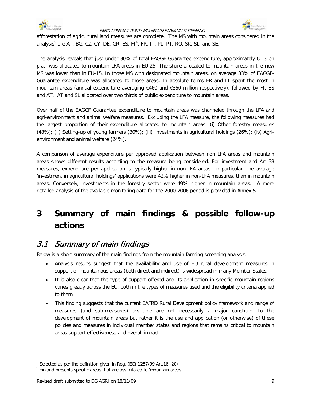



afforestation of agricultural land measures are complete. The MS with mountain areas considered in the analysis<sup>[5](#page-14-2)</sup> are AT, BG, CZ, CY, DE, GR, ES, FI<sup>[6](#page-14-3)</sup>, FR, IT, PL, PT, RO, SK, SL, and SE.

The analysis reveals that just under 30% of total EAGGF Guarantee expenditure, approximately €1.3 bn p.a., was allocated to mountain LFA areas in EU-25. The share allocated to mountain areas in the new MS was lower than in EU-15. In those MS with designated mountain areas, on average 33% of EAGGF-Guarantee expenditure was allocated to those areas. In absolute terms FR and IT spent the most in mountain areas (annual expenditure averaging €460 and €360 million respectively), followed by FI, ES and AT. AT and SL allocated over two thirds of public expenditure to mountain areas.

Over half of the EAGGF Guarantee expenditure to mountain areas was channeled through the LFA and agri-environment and animal welfare measures. Excluding the LFA measure, the following measures had the largest proportion of their expenditure allocated to mountain areas: (i) Other forestry measures (43%); (ii) Setting-up of young farmers (30%); (iii) Investments in agricultural holdings (26%); (iv) Agrienvironment and animal welfare (24%).

A comparison of average expenditure per approved application between non LFA areas and mountain areas shows different results according to the measure being considered. For investment and Art 33 measures, expenditure per application is typically higher in non-LFA areas. In particular, the average 'investment in agricultural holdings' applications were 42% higher in non-LFA measures, than in mountain areas. Conversely, investments in the forestry sector were 49% higher in mountain areas. A more detailed analysis of the available monitoring data for the 2000-2006 period is provided in Annex 5.

# <span id="page-14-0"></span>**3 Summary of main findings & possible follow-up actions**

### <span id="page-14-1"></span>3.1 Summary of main findings

Below is a short summary of the main findings from the mountain farming screening analysis:

- Analysis results suggest that the availability and use of EU rural development measures in support of mountainous areas (both direct and indirect) is widespread in many Member States.
- It is also clear that the type of support offered and its application in specific mountain regions varies greatly across the EU, both in the types of measures used and the eligibility criteria applied to them.
- This finding suggests that the current EAFRD Rural Development policy framework and range of measures (and sub-measures) available are not necessarily a major constraint to the development of mountain areas but rather it is the use and application (or otherwise) of these policies and measures in individual member states and regions that remains critical to mountain areas support effectiveness and overall impact.

<span id="page-14-2"></span> $5$  Selected as per the definition given in Reg. (EC) 1257/99 Art. 16 -20)

<span id="page-14-3"></span><sup>6</sup> Finland presents specific areas that are assimilated to 'mountain areas'.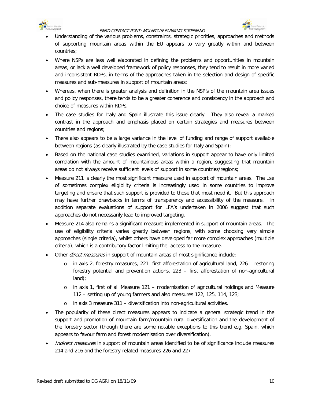



- Understanding of the various problems, constraints, strategic priorities, approaches and methods of supporting mountain areas within the EU appears to vary greatly within and between countries;
- Where NSPs are less well elaborated in defining the problems and opportunities in mountain areas, or lack a well developed framework of policy responses, they tend to result in more varied and inconsistent RDPs, in terms of the approaches taken in the selection and design of specific measures and sub-measures in support of mountain areas;
- Whereas, when there is greater analysis and definition in the NSP's of the mountain area issues and policy responses, there tends to be a greater coherence and consistency in the approach and choice of measures within RDPs;
- The case studies for Italy and Spain illustrate this issue clearly. They also reveal a marked contrast in the approach and emphasis placed on certain strategies and measures between countries and regions;
- There also appears to be a large variance in the level of funding and range of support available between regions (as clearly illustrated by the case studies for Italy and Spain);
- Based on the national case studies examined, variations in support appear to have only limited correlation with the amount of mountainous areas within a region, suggesting that mountain areas do not always receive sufficient levels of support in some countries/regions;
- Measure 211 is clearly the most significant measure used in support of mountain areas. The use of sometimes complex eligibility criteria is increasingly used in some countries to improve targeting and ensure that such support is provided to those that most need it. But this approach may have further drawbacks in terms of transparency and accessibility of the measure. In addition separate evaluations of support for LFA's undertaken in 2006 suggest that such approaches do not necessarily lead to improved targeting.
- Measure 214 also remains a significant measure implemented in support of mountain areas. The use of eligibility criteria varies greatly between regions, with some choosing very simple approaches (single criteria), whilst others have developed far more complex approaches (multiple criteria), which is a contributory factor limiting the access to the measure.
- Other *direct measures* in support of mountain areas of most significance include:
	- $\circ$  in axis 2, forestry measures, 221- first afforestation of agricultural land, 226 restoring forestry potential and prevention actions, 223 – first afforestation of non-agricultural land);
	- o in axis 1, first of all Measure 121 modernisation of agricultural holdings and Measure 112 – setting up of young farmers and also measures 122, 125, 114, 123;
	- o in axis 3 measure 311 diversification into non-agricultural activities.
- The popularity of these direct measures appears to indicate a general strategic trend in the support and promotion of mountain farm/mountain rural diversification and the development of the forestry sector (though there are some notable exceptions to this trend e.g. Spain, which appears to favour farm and forest modernisation over diversification).
- Indirect measures in support of mountain areas identified to be of significance include measures 214 and 216 and the forestry-related measures 226 and 227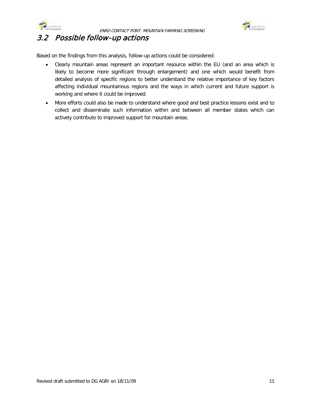



### <span id="page-16-0"></span>3.2 Possible follow-up actions

Based on the findings from this analysis, follow-up actions could be considered:

- Clearly mountain areas represent an important resource within the EU (and an area which is likely to become more significant through enlargement) and one which would benefit from detailed analysis of specific regions to better understand the relative importance of key factors affecting individual mountainous regions and the ways in which current and future support is working and where it could be improved.
- More efforts could also be made to understand where good and best practice lessons exist and to collect and disseminate such information within and between all member states which can actively contribute to improved support for mountain areas.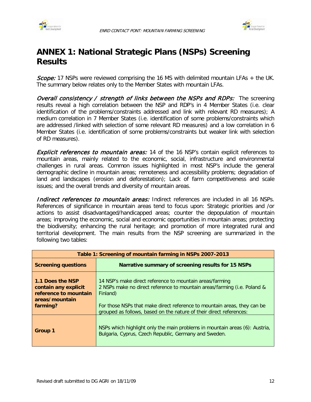



# <span id="page-17-0"></span>**ANNEX 1: National Strategic Plans (NSPs) Screening Results**

Scope: 17 NSPs were reviewed comprising the 16 MS with delimited mountain LFAs + the UK. The summary below relates only to the Member States with mountain LFAs.

Overall consistency / strength of links between the NSPs and RDPs: The screening results reveal a high correlation between the NSP and RDP's in 4 Member States (i.e. clear identification of the problems/constraints addressed and link with relevant RD measures); A medium correlation in 7 Member States (i.e. identification of some problems/constraints which are addressed /linked with selection of some relevant RD measures) and a low correlation in 6 Member States (i.e. identification of some problems/constraints but weaker link with selection of RD measures).

**Explicit references to mountain areas:** 14 of the 16 NSP's contain explicit references to mountain areas, mainly related to the economic, social, infrastructure and environmental challenges in rural areas. Common issues highlighted in most NSP's include the general demographic decline in mountain areas; remoteness and accessibility problems; degradation of land and landscapes (erosion and deforestation); Lack of farm competitiveness and scale issues; and the overall trends and diversity of mountain areas.

Indirect references to mountain areas: Indirect references are included in all 16 NSPs. References of significance in mountain areas tend to focus upon: Strategic priorities and /or actions to assist disadvantaged/handicapped areas; counter the depopulation of mountain areas; improving the economic, social and economic opportunities in mountain areas; protecting the biodiversity; enhancing the rural heritage; and promotion of more integrated rural and territorial development. The main results from the NSP screening are summarized in the following two tables:

| Table 1: Screening of mountain farming in NSPs 2007-2013                                        |                                                                                                                                                                                                                                                                                                     |  |  |  |  |  |  |  |
|-------------------------------------------------------------------------------------------------|-----------------------------------------------------------------------------------------------------------------------------------------------------------------------------------------------------------------------------------------------------------------------------------------------------|--|--|--|--|--|--|--|
| <b>Screening questions</b>                                                                      | Narrative summary of screening results for 15 NSPs                                                                                                                                                                                                                                                  |  |  |  |  |  |  |  |
| 1.1 Does the NSP<br>contain any explicit<br>reference to mountain<br>areas/mountain<br>farming? | 14 NSP's make direct reference to mountain areas/farming<br>2 NSPs make no direct reference to mountain areas/farming (i.e. Poland &<br>Finland)<br>For those NSPs that make direct reference to mountain areas, they can be<br>grouped as follows, based on the nature of their direct references: |  |  |  |  |  |  |  |
| Group 1                                                                                         | NSPs which highlight only the main problems in mountain areas (6): Austria,<br>Bulgaria, Cyprus, Czech Republic, Germany and Sweden.                                                                                                                                                                |  |  |  |  |  |  |  |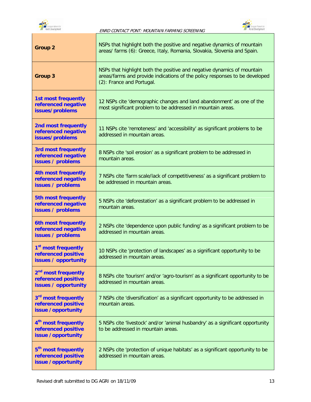



Ī

| <b>Group 2</b>                                                                 | NSPs that highlight both the positive and negative dynamics of mountain<br>areas/ farms (6): Greece, Italy, Romania, Slovakia, Slovenia and Spain.                                  |
|--------------------------------------------------------------------------------|-------------------------------------------------------------------------------------------------------------------------------------------------------------------------------------|
| <b>Group 3</b>                                                                 | NSPs that highlight both the positive and negative dynamics of mountain<br>areas/farms and provide indications of the policy responses to be developed<br>(2): France and Portugal. |
| <b>1st most frequently</b><br>referenced negative<br>issues/problems           | 12 NSPs cite 'demographic changes and land abandonment' as one of the<br>most significant problem to be addressed in mountain areas.                                                |
| 2nd most frequently<br>referenced negative<br>issues/problems                  | 11 NSPs cite 'remoteness' and 'accessibility' as significant problems to be<br>addressed in mountain areas.                                                                         |
| <b>3rd most frequently</b><br>referenced negative<br>issues / problems         | 8 NSPs cite 'soil erosion' as a significant problem to be addressed in<br>mountain areas.                                                                                           |
| <b>4th most frequently</b><br>referenced negative<br>issues / problems         | 7 NSPs cite 'farm scale/lack of competitiveness' as a significant problem to<br>be addressed in mountain areas.                                                                     |
| <b>5th most frequently</b><br>referenced negative<br>issues / problems         | 5 NSPs cite 'deforestation' as a significant problem to be addressed in<br>mountain areas.                                                                                          |
| 6th most frequently<br>referenced negative<br>issues / problems                | 2 NSPs cite 'dependence upon public funding' as a significant problem to be<br>addressed in mountain areas.                                                                         |
| 1 <sup>st</sup> most frequently<br>referenced positive<br>issues / opportunity | 10 NSPs cite 'protection of landscapes' as a significant opportunity to be<br>addressed in mountain areas.                                                                          |
| 2 <sup>nd</sup> most frequently<br>referenced positive<br>issues / opportunity | 8 NSPs cite 'tourism' and/or 'agro-tourism' as a significant opportunity to be<br>addressed in mountain areas.                                                                      |
| 3 <sup>rd</sup> most frequently<br>referenced positive<br>issue /opportunity   | 7 NSPs cite 'diversification' as a significant opportunity to be addressed in<br>mountain areas.                                                                                    |
| 4 <sup>th</sup> most frequently<br>referenced positive<br>issue /opportunity   | 5 NSPs cite 'livestock' and/or 'animal husbandry' as a significant opportunity<br>to be addressed in mountain areas.                                                                |
| 5 <sup>th</sup> most frequently<br>referenced positive<br>issue /opportunity   | 2 NSPs cite 'protection of unique habitats' as a significant opportunity to be<br>addressed in mountain areas.                                                                      |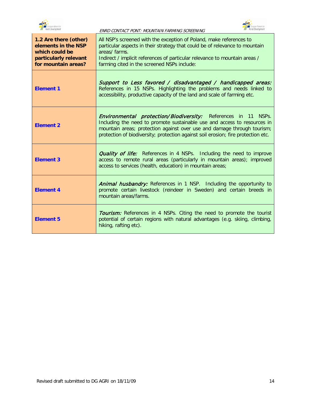



| 1.2 Are there (other)<br>elements in the NSP<br>which could be<br>particularly relevant<br>for mountain areas? | All NSP's screened with the exception of Poland, make references to<br>particular aspects in their strategy that could be of relevance to mountain<br>areas/farms.<br>Indirect / implicit references of particular relevance to mountain areas /<br>farming cited in the screened NSPs include:                  |
|----------------------------------------------------------------------------------------------------------------|------------------------------------------------------------------------------------------------------------------------------------------------------------------------------------------------------------------------------------------------------------------------------------------------------------------|
| <b>Element 1</b>                                                                                               | Support to Less favored / disadvantaged / handicapped areas:<br>References in 15 NSPs. Highlighting the problems and needs linked to<br>accessibility, productive capacity of the land and scale of farming etc.                                                                                                 |
| <b>Element 2</b>                                                                                               | <b>Environmental protection/Biodiversity:</b> References in 11 NSPs.<br>Including the need to promote sustainable use and access to resources in<br>mountain areas; protection against over use and damage through tourism;<br>protection of biodiversity; protection against soil erosion; fire protection etc. |
| <b>Element 3</b>                                                                                               | <b>Quality of life:</b> References in 4 NSPs. Including the need to improve<br>access to remote rural areas (particularly in mountain areas); improved<br>access to services (health, education) in mountain areas;                                                                                              |
| <b>Element 4</b>                                                                                               | <b>Animal husbandry:</b> References in 1 NSP. Including the opportunity to<br>promote certain livestock (reindeer in Sweden) and certain breeds in<br>mountain areas/farms.                                                                                                                                      |
| <b>Element 5</b>                                                                                               | <b>Tourism:</b> References in 4 NSPs. Citing the need to promote the tourist<br>potential of certain regions with natural advantages (e.g. skiing, climbing,<br>hiking, rafting etc).                                                                                                                            |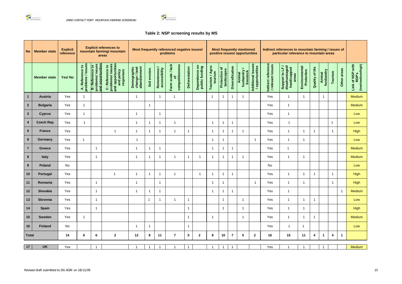



### **Table 2: NSP screening results by MS**

| No                      | <b>Member state</b> | <b>Explicit</b><br>reference |                                                             |                                                                 | <b>Explicit references to</b><br>mountain farming/ mountain<br>areas                | Most frequently referenced negative issues/<br>problems |                         |                               |                                            |                      | <b>Most frequently mentioned</b><br>positive issues/ opportunities |                           |                             | Indirect references to mountain farming / issues of<br>particular relevance to mountain areas |                                  |                                      |                                         |                                                                |                             |                         |                                         |                |                                       |
|-------------------------|---------------------|------------------------------|-------------------------------------------------------------|-----------------------------------------------------------------|-------------------------------------------------------------------------------------|---------------------------------------------------------|-------------------------|-------------------------------|--------------------------------------------|----------------------|--------------------------------------------------------------------|---------------------------|-----------------------------|-----------------------------------------------------------------------------------------------|----------------------------------|--------------------------------------|-----------------------------------------|----------------------------------------------------------------|-----------------------------|-------------------------|-----------------------------------------|----------------|---------------------------------------|
|                         | <b>Member state</b> | Yes/No                       | / issues<br>Reference to<br>problems<br>$\ddot{\mathbf{z}}$ | <b>B: Reference to</b><br>problems/ issues<br>and opportunities | and opportunities<br>and policy<br>responses<br>problems/ issues<br>C: Reference to | Demographic<br>change / land<br>abandonment             | Soil erosion            | Remoteness /<br>accessibility | Farm scale / lack<br>of<br>competitiveness | <b>Deforestation</b> | Dependence on<br>public funding                                    | Tourism / Agro<br>tourism | Protection of<br>landscapes | Diversification                                                                               | Animal<br>husbandry<br>livestock | Additional issues<br>/ opportunities | Indirect reference<br>/ relevant issues | ਰੋ<br>handicapped<br>areas<br>Support to LF /<br>disadvantaged | Environmental<br>Protection | Quality of life         | Animal<br>husbandry<br>Tourism          | Other areas    | (low/medium/high)<br>Link of NSP with |
| $\overline{1}$          | <b>Austria</b>      | Yes                          | $\overline{1}$                                              |                                                                 |                                                                                     | $\overline{1}$                                          |                         | $\overline{1}$                | $\mathbf{1}$                               |                      |                                                                    | -1                        | $\mathbf{1}$                | - 1                                                                                           | -1                               |                                      | Yes                                     | $\overline{1}$                                                 |                             |                         | $\mathbf{1}$                            |                | Medium                                |
| $\overline{2}$          | <b>Bulgaria</b>     | Yes                          | $\mathbf{1}$                                                |                                                                 |                                                                                     |                                                         | -1                      |                               |                                            |                      |                                                                    |                           |                             |                                                                                               |                                  |                                      | Yes                                     | $\overline{\mathbf{1}}$                                        |                             |                         |                                         |                | Medium                                |
| $3\phantom{a}$          | <b>Cyprus</b>       | Yes                          | $\overline{1}$                                              |                                                                 |                                                                                     | -1                                                      |                         | -1                            |                                            |                      |                                                                    |                           |                             |                                                                                               |                                  |                                      | Yes                                     | $\overline{\mathbf{1}}$                                        |                             |                         |                                         |                | Low                                   |
| $\overline{\mathbf{4}}$ | <b>Czech Rep</b>    | Yes                          | $\overline{1}$                                              |                                                                 |                                                                                     | -1                                                      | -1                      | -1                            |                                            |                      |                                                                    | $\overline{1}$            | $\mathbf 1$                 |                                                                                               |                                  |                                      | Yes                                     | -1                                                             |                             |                         | $\mathbf{1}$                            |                | Low                                   |
| 5 <sup>5</sup>          | <b>France</b>       | Yes                          |                                                             |                                                                 |                                                                                     | -1                                                      | -1                      | -1                            |                                            | $\mathbf{1}$         |                                                                    | $\mathbf{1}$              | $\overline{1}$              | $\overline{1}$                                                                                | -1                               |                                      | Yes                                     | $\overline{1}$                                                 |                             | $\overline{1}$          | $\overline{1}$                          |                | High                                  |
| $6\phantom{1}$          | Germany             | Yes                          | -1                                                          |                                                                 |                                                                                     | $\overline{\mathbf{1}}$                                 |                         |                               |                                            |                      |                                                                    | -1                        | $\overline{1}$              |                                                                                               |                                  | -1                                   | Yes                                     | $\overline{\mathbf{1}}$                                        |                             |                         |                                         |                | Low                                   |
| $\overline{7}$          | <b>Greece</b>       | Yes                          |                                                             | $\overline{\mathbf{1}}$                                         |                                                                                     | -1                                                      | -1                      |                               |                                            |                      |                                                                    | -1                        | -1                          |                                                                                               |                                  |                                      | Yes                                     | -1                                                             |                             |                         |                                         |                | <b>Medium</b>                         |
| 8                       | <b>Italy</b>        | Yes                          |                                                             | $\overline{1}$                                                  |                                                                                     | $\overline{1}$                                          | -1                      | -1                            |                                            | $\mathbf{1}$         | -1                                                                 | $\overline{1}$            | $\overline{1}$              |                                                                                               | -1                               |                                      | Yes                                     | $\overline{1}$                                                 | -1                          |                         |                                         |                | <b>Medium</b>                         |
| 9                       | Poland              | No                           |                                                             |                                                                 |                                                                                     |                                                         |                         |                               |                                            |                      |                                                                    |                           |                             |                                                                                               |                                  |                                      | No                                      |                                                                |                             |                         |                                         |                | Low                                   |
| 10                      | Portugal            | Yes                          |                                                             |                                                                 | $\overline{1}$                                                                      | -1                                                      | -1                      | -1                            |                                            |                      | $\mathbf 1$                                                        | $\overline{1}$            | $\overline{1}$              | $\overline{1}$                                                                                |                                  |                                      | Yes                                     | -1                                                             |                             | 1                       | $\mathbf{1}$                            |                | <b>High</b>                           |
| 11                      | Romania             | Yes                          |                                                             | -1                                                              |                                                                                     | -1                                                      |                         | -1                            |                                            |                      |                                                                    | -1                        | $\overline{1}$              |                                                                                               |                                  | -1                                   | Yes                                     | -1                                                             |                             |                         | $\overline{1}$                          |                | <b>High</b>                           |
| 12                      | <b>Slovakia</b>     | Yes                          |                                                             | $\overline{\mathbf{1}}$                                         |                                                                                     | -1                                                      | $\overline{\mathbf{1}}$ | $\overline{1}$                |                                            |                      |                                                                    | $\mathbf{1}$              | $\overline{1}$              | $\overline{1}$                                                                                |                                  |                                      | Yes                                     | -1                                                             |                             |                         |                                         | $\overline{A}$ | Medium                                |
| 13                      | Slovenia            | Yes                          |                                                             | $\overline{1}$                                                  |                                                                                     |                                                         | $\mathbf{1}$            | $\mathbf 1$                   |                                            | $\mathbf{1}$         |                                                                    |                           | $\overline{1}$              |                                                                                               | -1                               |                                      | Yes                                     | $\overline{1}$                                                 |                             | -1                      |                                         |                | Low                                   |
| 14                      | <b>Spain</b>        | Yes                          |                                                             | $\overline{1}$                                                  |                                                                                     |                                                         |                         |                               |                                            | $\mathbf{1}$         |                                                                    |                           | $\mathbf{1}$                |                                                                                               | -1                               |                                      | Yes                                     | $\overline{1}$                                                 | $\overline{1}$              |                         |                                         |                | High                                  |
| 15                      | <b>Sweden</b>       | Yes                          | $\mathbf{1}$                                                |                                                                 |                                                                                     |                                                         |                         |                               |                                            | $\mathbf{1}$         |                                                                    | $\mathbf{1}$              |                             |                                                                                               | -1                               |                                      | Yes                                     | $\overline{1}$                                                 | -1                          | $\overline{1}$          |                                         |                | Medium                                |
| 16                      | <b>Finland</b>      | No                           |                                                             |                                                                 |                                                                                     | $\mathbf{1}$                                            | -1                      |                               |                                            | $\mathbf{1}$         |                                                                    |                           |                             |                                                                                               |                                  |                                      | Yes                                     | $\overline{1}$                                                 | $\overline{\phantom{a}}$    |                         |                                         |                | Low                                   |
| <b>Total</b>            |                     | 14                           | 6                                                           | 6                                                               | $\mathbf{2}$                                                                        | 12                                                      | 8                       | 11                            | $\mathbf{7}$                               | 5 <sup>5</sup>       | $\mathbf{2}$                                                       | 8                         | 10                          | $\overline{7}$                                                                                | 5                                | $\mathbf{2}$                         | 16                                      | 15                                                             | 11                          | $\overline{\mathbf{4}}$ | $\mathbf{1}$<br>$\overline{\mathbf{4}}$ | $\mathbf 1$    |                                       |
| 17                      | <b>UK</b>           | Yes                          |                                                             | $\overline{1}$                                                  |                                                                                     | $\overline{1}$                                          | $\overline{1}$          | -1                            |                                            | $\mathbf{1}$         |                                                                    | $\overline{1}$            | $\overline{1}$              | $\overline{1}$                                                                                |                                  |                                      | Yes                                     | -1                                                             |                             |                         | $\overline{1}$                          |                | <b>Medium</b>                         |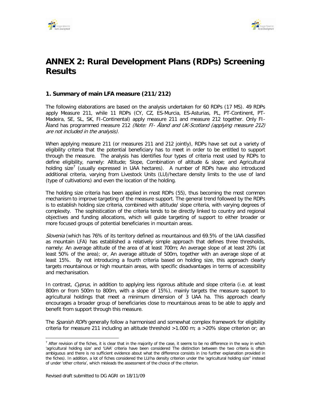



# <span id="page-21-0"></span>**ANNEX 2: Rural Development Plans (RDPs) Screening Results**

### **1. Summary of main LFA measure (211/212)**

The following elaborations are based on the analysis undertaken for 60 RDPs (17 MS). 49 RDPs apply Measure 211, while 11 RDPs (CY, CZ, ES-Murcia, ES-Asturias, PL, PT-Continent, PT-Madeira, SE, SL, SK, FI-Continental) apply measure 211 and measure 212 together. Only FI-Åland has programmed measure 212 (Note: FI- Åland and UK-Scotland (applying measure 212) are not included in the analysis).

When applying measure 211 (or measures 211 and 212 jointly), RDPs have set out a variety of eligibility criteria that the potential beneficiary has to meet in order to be entitled to support through the measure. The analysis has identifies four types of criteria most used by RDPs to define eligibility, namely: Altitude; Slope, Combination of altitude & slope; and Agricultural holding size<sup>[7](#page-21-1)</sup> (usually expressed in UAA hectares). A number of RDPs have also introduced additional criteria, varying from Livestock Units (LU)/hectare density limits to the use of land (type of cultivations) and even the location of the holding.

The holding size criteria has been applied in most RDPs (55), thus becoming the most common mechanism to improve targeting of the measure support. The general trend followed by the RDPs is to establish holding size criteria, combined with altitude/ slope criteria, with varying degrees of complexity. The sophistication of the criteria tends to be directly linked to country and regional objectives and funding allocations, which will guide targeting of support to either broader or more focused groups of potential beneficiaries in mountain areas.

Slovenia (which has 76% of its territory defined as mountainous and 69.5% of the UAA classified as mountain LFA) has established a relatively simple approach that defines three thresholds, namely: An average altitude of the area of at least 700m; An average slope of at least 20% (at least 50% of the area); or, An average altitude of 500m, together with an average slope of at least 15%. By not introducing a fourth criteria based on holding size, this approach clearly targets mountainous or high mountain areas, with specific disadvantages in terms of accessibility and mechanisation.

In contrast, Cyprus, in addition to applying less rigorous altitude and slope criteria (i.e. at least 800m or from 500m to 800m, with a slope of 15%), mainly targets the measure support to agricultural holdings that meet a minimum dimension of 3 UAA ha. This approach clearly encourages a broader group of beneficiaries close to mountainous areas to be able to apply and benefit from support through this measure.

The Spanish RDPs generally follow a harmonised and somewhat complex framework for eligibility criteria for measure 211 including an altitude threshold >1.000 m; a >20% slope criterion or; an

<span id="page-21-1"></span> $\overline{a}$  $<sup>7</sup>$  After revision of the fiches, it is clear that in the majority of the case, it seems to be no difference in the way in which</sup> 'agricultural holding size' and 'UAA' criteria have been considered The distinction between the two criteria is often ambiguous and there is no sufficient evidence about what the difference consists in (no further explanation provided in the fiches). In addition, a lot of fiches considered the LU/ha density criterion under the 'agricultural holding size'' instead of under 'other criteria', which misleads the assessment of the choice of the criterion.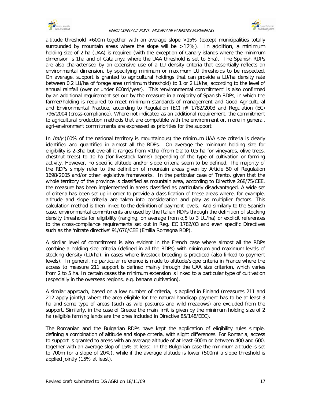



altitude threshold >600m together with an average slope >15% (except municipalities totally surrounded by mountain areas where the slope will be >12%). In addition, a minimum holding size of 2 ha (UAA) is required (with the exception of Canary islands where the minimum dimension is 1ha and of Catalunya where the UAA threshold is set to 5ha). The Spanish RDPs are also characterised by an extensive use of a LU density criteria that essentially reflects an environmental dimension, by specifying minimum or maximum LU thresholds to be respected. On average, support is granted to agricultural holdings that can provide a LU/ha density rate between 0.2 LU/ha of forage area (minimum threshold) to 1 or 2 LU/ha, according to the level of annual rainfall (over or under 800ml/year). This 'environmental commitment' is also confirmed by an additional requirement set out by the measure in a majority of Spanish RDPs, in which the farmer/holding is required to meet minimum standards of management and Good Agricultural and Environmental Practice, according to Regulation (EC)  $n^{\circ}$  1782/2003 and Regulation (EC) 796/2004 (cross-compliance). Where not indicated as an additional requirement, the commitment to agricultural production methods that are compatible with the environment or, more in general, agri-environment commitments are expressed as priorities for the support.

In *Italy* (60% of the national territory is mountainous) the minimum UAA size criteria is clearly identified and quantified in almost all the RDPs. On average the minimum holding size for eligibility is 2-3ha but overall it ranges from <1ha (from 0,2 to 0,5 ha for vineyards, olive trees, chestnut trees) to 10 ha (for livestock farms) depending of the type of cultivation or farming activity. However, no specific altitude and/or slope criteria seem to be defined. The majority of the RDPs simply refer to the definition of mountain areas given by Article 50 of Regulation 1698/2005 and/or other legislative frameworks. In the particular case of Trento, given that the whole territory of the province is classified as mountain area, according to Directive 268/75/CEE, the measure has been implemented in areas classified as particularly disadvantaged. A wide set of criteria has been set up in order to provide a classification of these areas where, for example, altitude and slope criteria are taken into consideration and play as multiplier factors. This calculation method is then linked to the definition of payment levels. And similarly to the Spanish case, environmental commitments are used by the Italian RDPs through the definition of stocking density thresholds for eligibility (ranging, on average from o,5 to 3 LU/ha) or explicit references to the cross-compliance requirements set out in Reg. EC 1782/03 and even specific Directives such as the 'nitrate directive' 91/676/CEE (Emilia Romagna RDP).

A similar level of commitment is also evident in the French case where almost all the RDPs combine a holding size criteria (defined in all the RDPs) with minimum and maximum levels of stocking density (LU/ha), in cases where livestock breeding is practiced (also linked to payment levels). In general, no particular reference is made to altitude/slope criteria in France where the access to measure 211 support is defined mainly through the UAA size criterion, which varies from 2 to 5 ha. In certain cases the minimum extension is linked to a particular type of cultivation (especially in the overseas regions, e.g. banana cultivation).

A similar approach, based on a low number of criteria, is applied in Finland (measures 211 and 212 apply jointly) where the area eligible for the natural handicap payment has to be at least 3 ha and some type of areas (such as wild pastures and wild meadows) are excluded from the support. Similarly, in the case of Greece the main limit is given by the minimum holding size of 2 ha (eligible farming lands are the ones included in Directive 85/148/EEC).

The Romanian and the Bulgarian RDPs have kept the application of eligibility rules simple, defining a combination of altitude and slope criteria, with slight differences. For Romania, access to support is granted to areas with an average altitude of at least 600m or between 400 and 600, together with an average slop of 15% at least. In the Bulgarian case the minimum altitude is set to 700m (or a slope of 20%), while if the average altitude is lower (500m) a slope threshold is applied jointly (15% at least).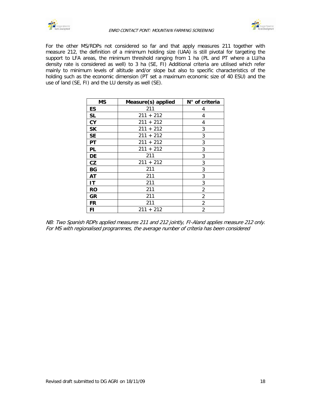



For the other MS/RDPs not considered so far and that apply measures 211 together with measure 212, the definition of a minimum holding size (UAA) is still pivotal for targeting the support to LFA areas, the minimum threshold ranging from 1 ha (PL and PT where a LU/ha density rate is considered as well) to 3 ha (SE, FI) Additional criteria are utilised which refer mainly to minimum levels of altitude and/or slope but also to specific characteristics of the holding such as the economic dimension (PT set a maximum economic size of 40 ESU) and the use of land (SE, FI) and the LU density as well (SE).

| ΜS        | Measure(s) applied | N° of criteria |
|-----------|--------------------|----------------|
| <b>ES</b> | 211                | 4              |
| <b>SL</b> | $211 + 212$        | 4              |
| CY        | $211 + 212$        | 4              |
| <b>SK</b> | $211 + 212$        | 3              |
| <b>SE</b> | $211 + 212$        | 3              |
| РT        | $211 + 212$        | 3              |
| PL        | $211 + 212$        | 3              |
| DE        | 211                | 3              |
| CZ        | $211 + 212$        | 3              |
| BG        | 211                | 3              |
| AT        | 211                | 3              |
| IT        | 211                | 3              |
| RO        | 211                | 2              |
| GR        | 211                | 2              |
| FR        | 211                | 2              |
| FI        | $211 + 212$        | 2              |

NB: Two Spanish RDPs applied measures 211 and 212 jointly, FI-Aland applies measure 212 only. For MS with regionalised programmes, the average number of criteria has been considered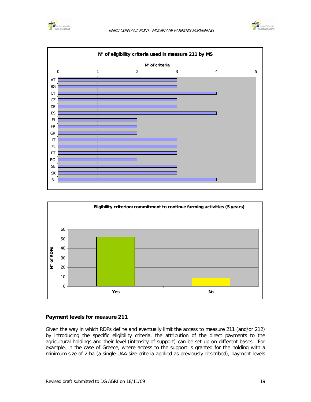







### **Payment levels for measure 211**

Given the way in which RDPs define and eventually limit the access to measure 211 (and/or 212) by introducing the specific eligibility criteria, the attribution of the direct payments to the agricultural holdings and their level (intensity of support) can be set up on different bases. For example, in the case of Greece, where access to the support is granted for the holding with a minimum size of 2 ha (a single UAA size criteria applied as previously described), payment levels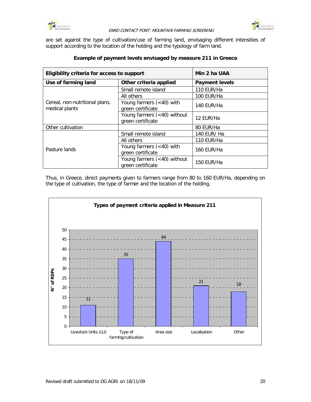



are set against the type of cultivation/use of farming land, envisaging different intensities of support according to the location of the holding and the typology of farm land.

| Eligibility criteria for access to support       | Min 2 ha UAA                                      |                       |
|--------------------------------------------------|---------------------------------------------------|-----------------------|
| Use of farming land                              | Other criteria applied                            | <b>Payment levels</b> |
|                                                  | Small remote island                               | 110 EUR/Ha            |
|                                                  | All others                                        | 100 EUR/Ha            |
| Cereal, non-nutritional plans,<br>medical plants | Young farmers $(40) with$<br>green certificate    | 140 EUR/Ha            |
|                                                  | Young farmers (<40) without<br>green certificate  | 12 EUR/Ha             |
| Other cultivation                                |                                                   | 80 EUR/Ha             |
|                                                  | Small remote island                               | 140 EUR/ Ha           |
|                                                  | All others                                        | 110 EUR/Ha            |
| Pasture lands                                    | Young farmers $(40) with$<br>green certificate    | 160 EUR/Ha            |
|                                                  | Young farmers $(40)$ without<br>green certificate | 150 EUR/Ha            |

### **Example of payment levels envisaged by measure 211 in Greece**

Thus, in Greece, direct payments given to farmers range from 80 to 160 EUR/Ha, depending on the type of cultivation, the type of farmer and the location of the holding.

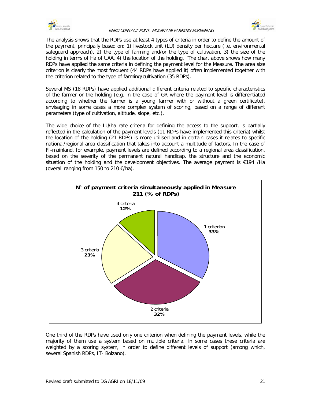



The analysis shows that the RDPs use at least 4 types of criteria in order to define the amount of the payment, principally based on: 1) livestock unit (LU) density per hectare (i.e. environmental safeguard approach), 2) the type of farming and/or the type of cultivation, 3) the size of the holding in terms of Ha of UAA, 4) the location of the holding. The chart above shows how many RDPs have applied the same criteria in defining the payment level for the Measure. The area size criterion is clearly the most frequent (44 RDPs have applied it) often implemented together with the criterion related to the type of farming/cultivation (35 RDPs).

Several MS (18 RDPs) have applied additional different criteria related to specific characteristics of the farmer or the holding (e.g. in the case of GR where the payment level is differentiated according to whether the farmer is a young farmer with or without a green certificate), envisaging in some cases a more complex system of scoring, based on a range of different parameters (type of cultivation, altitude, slope, etc.).

The wide choice of the LU/ha rate criteria for defining the access to the support, is partially reflected in the calculation of the payment levels (11 RDPs have implemented this criteria) whilst the location of the holding (21 RDPs) is more utilised and in certain cases it relates to specific national/regional area classification that takes into account a multitude of factors. In the case of FI-mainland, for example, payment levels are defined according to a regional area classification, based on the severity of the permanent natural handicap, the structure and the economic situation of the holding and the development objectives. The average payment is  $\epsilon$ 194 /Ha (overall ranging from 150 to 210  $\epsilon$ /ha).



One third of the RDPs have used only one criterion when defining the payment levels, while the majority of them use a system based on multiple criteria. In some cases these criteria are weighted by a scoring system, in order to define different levels of support (among which, several Spanish RDPs, IT- Bolzano).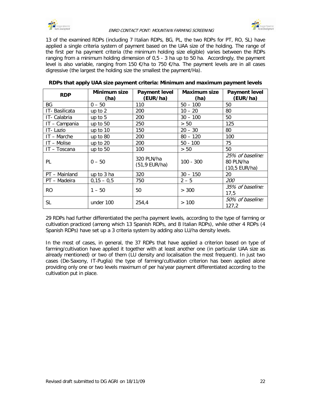



13 of the examined RDPs (including 7 Italian RDPs, BG, PL, the two RDPs for PT, RO, SL) have applied a single criteria system of payment based on the UAA size of the holding. The range of the first per ha payment criteria (the minimum holding size eligible) varies between the RDPs ranging from a minimum holding dimension of 0,5 - 3 ha up to 50 ha. Accordingly, the payment level is also variable, ranging from 150  $\epsilon$ /ha to 750  $\epsilon$ /ha. The payment levels are in all cases digressive (the largest the holding size the smallest the payment/Ha).

| <b>RDP</b>    | Minimum size<br>(ha) | <b>Payment level</b><br>(EUR/ha) | <b>Maximum size</b><br>(ha) | <b>Payment level</b><br>(EUR/ha)               |
|---------------|----------------------|----------------------------------|-----------------------------|------------------------------------------------|
| BG            | $0 - 50$             | 110                              | $50 - 100$                  | 50                                             |
| IT-Basilicata | up to $2$            | 200                              | $10 - 20$                   | 80                                             |
| IT- Calabria  | up to $5$            | 200                              | $30 - 100$                  | 50                                             |
| IT - Campania | up to 50             | 250                              | > 50                        | 125                                            |
| IT-Lazio      | up to 10             | 150                              | $20 - 30$                   | 80                                             |
| $IT - Marche$ | up to $80$           | 200                              | $80 - 120$                  | 100                                            |
| IT - Molise   | up to $20$           | 200                              | $50 - 100$                  | 75                                             |
| IT - Toscana  | up to 50             | 100                              | > 50                        | 50                                             |
| PL            | $0 - 50$             | 320 PLN/ha<br>(51,9 EUR/ha)      | $100 - 300$                 | 25% of baseline:<br>80 PLN/ha<br>(10,5 EUR/ha) |
| PT - Mainland | up to 3 ha           | 320                              | $30 - 150$                  | 20                                             |
| PT - Madeira  | $0,15 - 0,5$         | 750                              | $2 - 5$                     | 200                                            |
| <b>RO</b>     | $1 - 50$             | 50                               | > 300                       | 35% of baseline:<br>17,5                       |
| <b>SL</b>     | under 100            | 254,4                            | >100                        | 50% of baseline:<br>127,2                      |

|  | RDPs that apply UAA size payment criteria: Minimum and maximum payment levels |
|--|-------------------------------------------------------------------------------|
|--|-------------------------------------------------------------------------------|

29 RDPs had further differentiated the per/ha payment levels, according to the type of farming or cultivation practiced (among which 13 Spanish RDPs, and 8 Italian RDPs), while other 4 RDPs (4 Spanish RDPs) have set up a 3 criteria system by adding also LU/ha density levels.

In the most of cases, in general, the 37 RDPs that have applied a criterion based on type of farming/cultivation have applied it together with at least another one (in particular UAA size as already mentioned) or two of them (LU density and localisation the most frequent). In just two cases (De-Saxony, IT-Puglia) the type of farming/cultivation criterion has been applied alone providing only one or two levels maximum of per ha/year payment differentiated according to the cultivation put in place.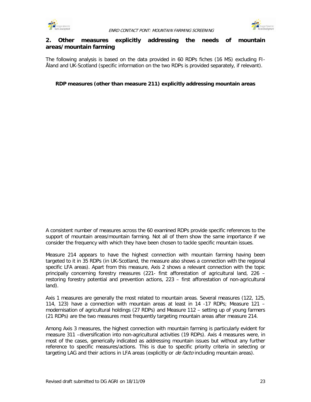



### **2. Other measures explicitly addressing the needs of mountain areas/mountain farming**

The following analysis is based on the data provided in 60 RDPs fiches (16 MS) excluding FI-Åland and UK-Scotland (specific information on the two RDPs is provided separately, if relevant).

### **RDP measures (other than measure 211) explicitly addressing mountain areas**

A consistent number of measures across the 60 examined RDPs provide specific references to the support of mountain areas/mountain farming. Not all of them show the same importance if we consider the frequency with which they have been chosen to tackle specific mountain issues.

Measure 214 appears to have the highest connection with mountain farming having been targeted to it in 35 RDPs (in UK-Scotland, the measure also shows a connection with the regional specific LFA areas). Apart from this measure, Axis 2 shows a relevant connection with the topic principally concerning forestry measures (221- first afforestation of agricultural land, 226 – restoring forestry potential and prevention actions, 223 – first afforestation of non-agricultural land).

Axis 1 measures are generally the most related to mountain areas. Several measures (122, 125, 114, 123) have a connection with mountain areas at least in 14 -17 RDPs; Measure 121 – modernisation of agricultural holdings (27 RDPs) and Measure 112 – setting up of young farmers (21 RDPs) are the two measures most frequently targeting mountain areas after measure 214.

Among Axis 3 measures, the highest connection with mountain farming is particularly evident for measure 311 –diversification into non-agricultural activities (19 RDPs). Axis 4 measures were, in most of the cases, generically indicated as addressing mountain issues but without any further reference to specific measures/actions. This is due to specific priority criteria in selecting or targeting LAG and their actions in LFA areas (explicitly or *de facto* including mountain areas).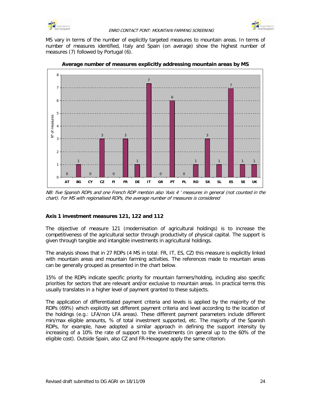



MS vary in terms of the number of explicitly targeted measures to mountain areas. In terms of number of measures identified, Italy and Spain (on average) show the highest number of measures (7) followed by Portugal (6).



**Average number of measures explicitly addressing mountain areas by MS**

NB: five Spanish RDPs and one French RDP mention also 'Axis 4 ' measures in general (not counted in the chart). For MS with regionalised RDPs, the average number of measures is considered

### **Axis 1 investment measures 121, 122 and 112**

The objective of measure 121 (modernisation of agricultural holdings) is to increase the competitiveness of the agricultural sector through productivity of physical capital. The support is given through tangible and intangible investments in agricultural holdings.

The analysis shows that in 27 RDPs (4 MS in total: FR, IT, ES, CZ) this measure is explicitly linked with mountain areas and mountain farming activities. The references made to mountain areas can be generally grouped as presented in the chart below.

15% of the RDPs indicate specific priority for mountain farmers/holding, including also specific priorities for sectors that are relevant and/or exclusive to mountain areas. In practical terms this usually translates in a higher level of payment granted to these subjects.

The application of differentiated payment criteria and levels is applied by the majority of the RDPs (69%) which explicitly set different payment criteria and level according to the location of the holdings (e.g.: LFA/non LFA areas). These different payment parameters include different min/max eligible amounts, % of total investment supported, etc. The majority of the Spanish RDPs, for example, have adopted a similar approach in defining the support intensity by increasing of a 10% the rate of support to the investments (in general up to the 60% of the eligible cost). Outside Spain, also CZ and FR-Hexagone apply the same criterion.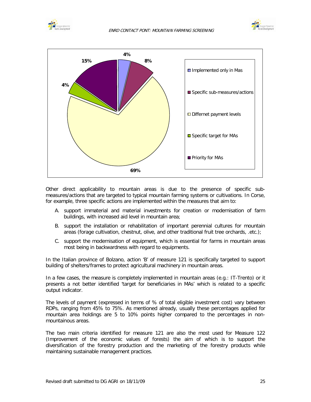





Other direct applicability to mountain areas is due to the presence of specific submeasures/actions that are targeted to typical mountain farming systems or cultivations. In Corse, for example, three specific actions are implemented within the measures that aim to:

- A. support immaterial and material investments for creation or modernisation of farm buildings, with increased aid level in mountain area;
- B. support the installation or rehabilitation of important perennial cultures for mountain areas (forage cultivation, chestnut, olive, and other traditional fruit tree orchards, .etc.);
- C. support the modernisation of equipment, which is essential for farms in mountain areas most being in backwardness with regard to equipments.

In the Italian province of Bolzano, action 'B' of measure 121 is specifically targeted to support building of shelters/frames to protect agricultural machinery in mountain areas.

In a few cases, the measure is completely implemented in mountain areas (e.g.: IT-Trento) or it presents a not better identified 'target for beneficiaries in MAs' which is related to a specific output indicator.

The levels of payment (expressed in terms of % of total eligible investment cost) vary between RDPs, ranging from 45% to 75%. As mentioned already, usually these percentages applied for mountain area holdings are 5 to 10% points higher compared to the percentages in nonmountainous areas.

The two main criteria identified for measure 121 are also the most used for Measure 122 (Improvement of the economic values of forests) the aim of which is to support the diversification of the forestry production and the marketing of the forestry products while maintaining sustainable management practices.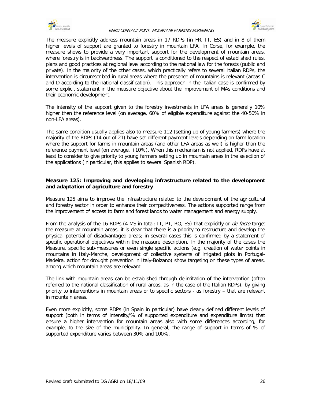![](_page_31_Picture_0.jpeg)

![](_page_31_Picture_2.jpeg)

The measure explicitly address mountain areas in 17 RDPs (in FR, IT, ES) and in 8 of them higher levels of support are granted to forestry in mountain LFA. In Corse, for example, the measure shows to provide a very important support for the development of mountain areas, where forestry is in backwardness. The support is conditioned to the respect of established rules, plans and good practices at regional level according to the national law for the forests (public and private). In the majority of the other cases, which practically refers to several Italian RDPs, the intervention is circumscribed in rural areas where the presence of mountains is relevant (areas C and D according to the national classification). This approach in the Italian case is confirmed by some explicit statement in the measure objective about the improvement of MAs conditions and their economic development.

The intensity of the support given to the forestry investments in LFA areas is generally 10% higher then the reference level (on average, 60% of eligible expenditure against the 40-50% in non-LFA areas).

The same condition usually applies also to measure 112 (setting up of young farmers) where the majority of the RDPs (14 out of 21) have set different payment levels depending on farm location where the support for farms in mountain areas (and other LFA areas as well) is higher than the reference payment level (on average, +10%). When this mechanism is not applied, RDPs have at least to consider to give priority to young farmers setting up in mountain areas in the selection of the applications (in particular, this applies to several Spanish RDP).

### **Measure 125: Improving and developing infrastructure related to the development and adaptation of agriculture and forestry**

Measure 125 aims to improve the infrastructure related to the development of the agricultural and forestry sector in order to enhance their competitiveness. The actions supported range from the improvement of access to farm and forest lands to water management and energy supply.

From the analysis of the 16 RDPs (4 MS in total: IT, PT, RO, ES) that explicitly or *de facto* target the measure at mountain areas, it is clear that there is a priority to restructure and develop the physical potential of disadvantaged areas; in several cases this is confirmed by a statement of specific operational objectives within the measure description. In the majority of the cases the Measure, specific sub-measures or even single specific actions (e.g. creation of water points in mountains in Italy-Marche, development of collective systems of irrigated plots in Portugal-Madeira, action for drought prevention in Italy-Bolzano) show targeting on these types of areas, among which mountain areas are relevant.

The link with mountain areas can be established through delimitation of the intervention (often referred to the national classification of rural areas, as in the case of the Italian RDPs), by giving priority to interventions in mountain areas or to specific sectors - as forestry – that are relevant in mountain areas.

Even more explicitly, some RDPs (in Spain in particular) have clearly defined different levels of support (both in terms of intensity/% of supported expenditure and expenditure limits) that ensure a higher intervention for mountain areas also with some differences according, for example, to the size of the municipality. In general, the range of support in terms of % of supported expenditure varies between 30% and 100%.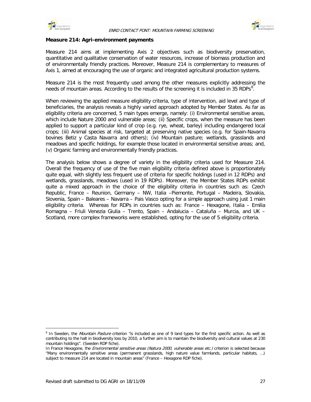![](_page_32_Picture_0.jpeg)

![](_page_32_Picture_2.jpeg)

### **Measure 214: Agri-environment payments**

Measure 214 aims at implementing Axis 2 objectives such as biodiversity preservation, quantitative and qualitative conservation of water resources, increase of biomass production and of environmentally friendly practices. Moreover, Measure 214 is complementary to measures of Axis 1, aimed at encouraging the use of organic and integrated agricultural production systems.

Measure 214 is the most frequently used among the other measures explicitly addressing the needs of mountain areas. According to the results of the screening it is included in 35 RDPs<sup>[8](#page-32-0)</sup>.

When reviewing the applied measure eligibility criteria, type of intervention, aid level and type of beneficiaries, the analysis reveals a highly varied approach adopted by Member States. As far as eligibility criteria are concerned, 5 main types emerge, namely: (i) Environmental sensitive areas, which include Nature 2000 and vulnerable areas; (ii) Specific crops, when the measure has been applied to support a particular kind of crop (e.g. rye, wheat, barley) including endangered local crops; (iii) Animal species at risk, targeted at preserving native species (e.g. for Spain-Navarra bovines Betiz y Casta Navarra and others); (iv) Mountain pasture; wetlands, grasslands and meadows and specific holdings, for example those located in environmental sensitive areas; and, (v) Organic farming and environmentally friendly practices.

The analysis below shows a degree of variety in the eligibility criteria used for Measure 214. Overall the frequency of use of the five main eligibility criteria defined above is proportionately quite equal, with slightly less frequent use of criteria for specific holdings (used in 12 RDPs) and wetlands, grasslands, meadows (used in 19 RDPs). Moreover, the Member States RDPs exhibit quite a mixed approach in the choice of the eligibility criteria in countries such as: Czech Republic, France – Reunion, Germany – NW, Italia –Piemonte, Portugal – Madeira, Slovakia, Slovenia, Spain – Baleares – Navarra – Pais Vasco opting for a simple approach using just 1 main eligibility criteria. Whereas for RDPs in countries such as: France – Hexagone, Italia – Emilia Romagna – Friuli Venezia Giulia – Trento, Spain – Andalucia – Cataluña – Murcia, and UK – Scotland, more complex frameworks were established, opting for the use of 5 eligibility criteria.

 $\overline{a}$ 

<span id="page-32-0"></span><sup>&</sup>lt;sup>8</sup> In Sweden, the Mountain Pasture criterion "is included as one of 9 land types for the first specific action. As well as contributing to the halt in biodiversity loss by 2010, a further aim is to maintain the biodiversity and cultural values at 230 mountain holdings". (Sweden RDP fiche).

In France Hexagone, the *Environmental sensitive areas (Natura 2000, vulnerable areas etc.)* criterion is selected because "Many environmentally sensitive areas (permanent grasslands, high nature value farmlands, particular habitats, …) subject to measure 214 are located in mountain areas" (France – Hexagone RDP fiche).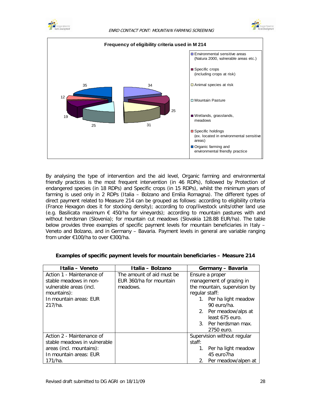![](_page_33_Picture_0.jpeg)

![](_page_33_Picture_2.jpeg)

![](_page_33_Figure_3.jpeg)

By analysing the type of intervention and the aid level, Organic farming and environmental friendly practices is the most frequent intervention (in 46 RDPs), followed by Protection of endangered species (in 18 RDPs) and Specific crops (in 15 RDPs), whilst the minimum years of farming is used only in 2 RDPs (Italia – Bolzano and Emilia Romagna). The different types of direct payment related to Measure 214 can be grouped as follows: according to eligibility criteria (France Hexagon does it for stocking density); according to crop/livestock units/other land use (e.g. Basilicata maximum  $\epsilon$  450/ha for vineyards); according to mountain pastures with and without herdsman (Slovenia); for mountain cut meadows (Slovakia 128.88 EUR/ha). The table below provides three examples of specific payment levels for mountain beneficiaries in Italy – Veneto and Bolzano, and in Germany – Bavaria. Payment levels in general are variable ranging from under €100/ha to over €300/ha.

| Italia - Veneto              | Italia - Bolzano          | Germany - Bavaria            |
|------------------------------|---------------------------|------------------------------|
| Action 1 - Maintenance of    | The amount of aid must be | Ensure a proper              |
| stable meadows in non-       | EUR 360/ha for mountain   | management of grazing in     |
| vulnerable areas (incl.      | meadows.                  | the mountain, supervision by |
| mountains):                  |                           | regular staff:               |
| In mountain areas: EUR       |                           | 1. Per ha light meadow       |
| $217/ha$ .                   |                           | 90 euro/ha.                  |
|                              |                           | 2. Per meadow/alps at        |
|                              |                           | least 675 euro.              |
|                              |                           | 3. Per herdsman max.         |
|                              |                           | 2750 euro.                   |
| Action 2 - Maintenance of    |                           | Supervision without regular  |
| stable meadows in vulnerable |                           | staff:                       |
| areas (incl. mountains):     |                           | Per ha light meadow<br>1.    |
| In mountain areas: EUR       |                           | 45 euro7ha                   |
| $171/ha$ .                   |                           | 2. Per meadow/alpen at       |

### **Examples of specific payment levels for mountain beneficiaries – Measure 214**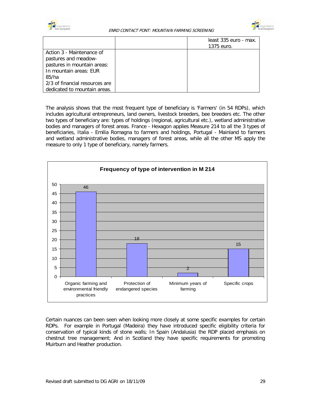![](_page_34_Picture_0.jpeg)

![](_page_34_Picture_2.jpeg)

|                                | least 335 euro - max. |
|--------------------------------|-----------------------|
|                                | 1375 euro.            |
| Action 3 - Maintenance of      |                       |
| pastures and meadow-           |                       |
| pastures in mountain areas:    |                       |
| In mountain areas: EUR         |                       |
| 85/ha                          |                       |
| 2/3 of financial resources are |                       |
| dedicated to mountain areas.   |                       |

The analysis shows that the most frequent type of beneficiary is 'Farmers' (in 54 RDPs), which includes agricultural entrepreneurs, land owners, livestock breeders, bee breeders etc. The other two types of beneficiary are: types of holdings (regional, agricultural etc.), wetland administrative bodies and managers of forest areas. France - Hexagon applies Measure 214 to all the 3 types of beneficiaries, Italia - Emilia Romagna to farmers and holdings, Portugal - Mainland to farmers and wetland administrative bodies, managers of forest areas, while all the other MS apply the measure to only 1 type of beneficiary, namely farmers.

![](_page_34_Figure_5.jpeg)

Certain nuances can been seen when looking more closely at some specific examples for certain RDPs. For example in Portugal (Madeira) they have introduced specific eligibility criteria for conservation of typical kinds of stone walls; In Spain (Andalusia) the RDP placed emphasis on chestnut tree management; And in Scotland they have specific requirements for promoting Muirburn and Heather production.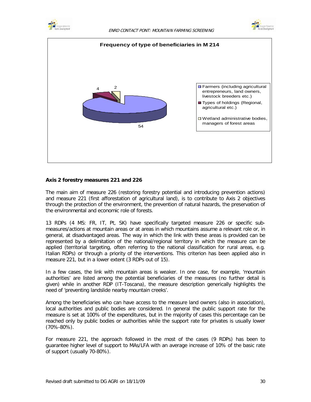![](_page_35_Picture_0.jpeg)

![](_page_35_Picture_2.jpeg)

![](_page_35_Figure_3.jpeg)

### **Axis 2 forestry measures 221 and 226**

The main aim of measure 226 (restoring forestry potential and introducing prevention actions) and measure 221 (first afforestation of agricultural land), is to contribute to Axis 2 objectives through the protection of the environment, the prevention of natural hazards, the preservation of the environmental and economic role of forests.

13 RDPs (4 MS: FR, IT, Pt, SK) have specifically targeted measure 226 or specific submeasures/actions at mountain areas or at areas in which mountains assume a relevant role or, in general, at disadvantaged areas. The way in which the link with these areas is provided can be represented by a delimitation of the national/regional territory in which the measure can be applied (territorial targeting, often referring to the national classification for rural areas, e.g. Italian RDPs) or through a priority of the interventions. This criterion has been applied also in measure 221, but in a lower extent (3 RDPs out of 15).

In a few cases, the link with mountain areas is weaker. In one case, for example, 'mountain authorities' are listed among the potential beneficiaries of the measures (no further detail is given) while in another RDP (IT-Toscana), the measure description generically highlights the need of 'preventing landslide nearby mountain creeks'.

Among the beneficiaries who can have access to the measure land owners (also in association), local authorities and public bodies are considered. In general the public support rate for the measure is set at 100% of the expenditures, but in the majority of cases this percentage can be reached only by public bodies or authorities while the support rate for privates is usually lower (70%-80%).

For measure 221, the approach followed in the most of the cases (9 RDPs) has been to guarantee higher level of support to MAs/LFA with an average increase of 10% of the basic rate of support (usually 70-80%).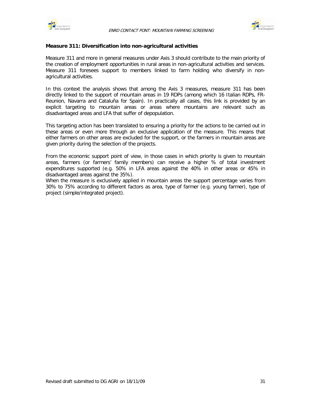



#### **Measure 311: Diversification into non-agricultural activities**

Measure 311 and more in general measures under Axis 3 should contribute to the main priority of the creation of employment opportunities in rural areas in non-agricultural activities and services. Measure 311 foresees support to members linked to farm holding who diversify in nonagricultural activities.

In this context the analysis shows that among the Axis 3 measures, measure 311 has been directly linked to the support of mountain areas in 19 RDPs (among which 16 Italian RDPs, FR-Reunion, Navarra and Cataluña for Spain). In practically all cases, this link is provided by an explicit targeting to mountain areas or areas where mountains are relevant such as disadvantaged areas and LFA that suffer of depopulation.

This targeting action has been translated to ensuring a priority for the actions to be carried out in these areas or even more through an exclusive application of the measure. This means that either farmers on other areas are excluded for the support, or the farmers in mountain areas are given priority during the selection of the projects.

From the economic support point of view, in those cases in which priority is given to mountain areas, farmers (or farmers' family members) can receive a higher % of total investment expenditures supported (e.g. 50% in LFA areas against the 40% in other areas or 45% in disadvantaged areas against the 35%).

When the measure is exclusively applied in mountain areas the support percentage varies from 30% to 75% according to different factors as area, type of farmer (e.g. young farmer), type of project (simple/integrated project).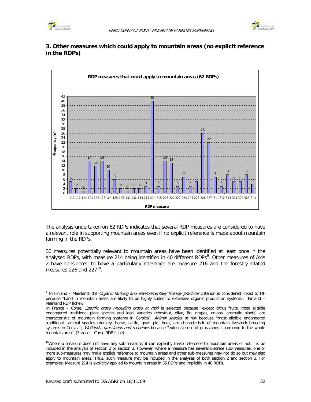



### **3. Other measures which could apply to mountain areas (no explicit reference in the RDPs)**



The analysis undertaken on 62 RDPs indicates that several RDP measures are considered to have a relevant role in supporting mountain areas even if no explicit reference is made about mountain farming in the RDPs.

30 measures potentially relevant to mountain areas have been identified at least once in the analysed RDPs, with measure 214 being identified in 40 different RDPs<sup>[9](#page-37-0)</sup>. Other measures of Axis 2 have considered to have a particularly relevance are measure 216 and the forestry-related measures 226 and 227 $10$ .

<span id="page-37-0"></span> $\overline{a}$ 9 In Finland – Mainland, the Organic farming and environmentally friendly practices criterion is considered linked to MF because "Land in mountain areas are likely to be highly suited to extensive organic production systems". (Finland – Mainland RDP fiche).

In France - Corse, Specific crops (including crops at risk) is selected because "except citrus fruits, most eligible endangered traditional plant species and local varieties (chestnut, olive, fig, grapes, onions, aromatic plants) are characteristic of mountain farming systems in Corsica"; Animal species at risk because "most eligible endangered traditional animal species (donkey, horse, cattle, goat, pig, bee), are characteristic of mountain livestock breeding systems in Corsica"; Wetlands, grasslands and meadows because "extensive use of grasslands is common to the whole mountain area". (France – Corse RDP fiche).

<span id="page-37-1"></span>Where a measure does not have any sub-measure, it can explicitly make reference to mountain areas or not, i.e. be included in the analysis of section 2 or section 3. However, where a measure has several discrete sub-measures, one or more sub-measures may make explicit reference to mountain areas and other sub-measures may not do so but may also apply to mountain areas. Thus, such measure may be included in the analyses of both section 2 and section 3. For examples, Measure 214 is explicitly applied to mountain areas in 35 RDPs and implicitly in 40 RDPs.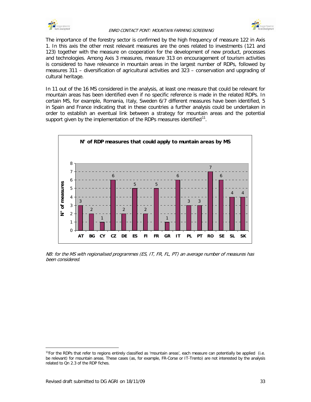

#### ENRD CONTACT PONT: MOUNTAIN FARMING SCREENING



The importance of the forestry sector is confirmed by the high frequency of measure 122 in Axis 1. In this axis the other most relevant measures are the ones related to investments (121 and 123) together with the measure on cooperation for the development of new product, processes and technologies. Among Axis 3 measures, measure 313 on encouragement of tourism activities is considered to have relevance in mountain areas in the largest number of RDPs, followed by measures 311 – diversification of agricultural activities and 323 – conservation and upgrading of cultural heritage.

In 11 out of the 16 MS considered in the analysis, at least one measure that could be relevant for mountain areas has been identified even if no specific reference is made in the related RDPs. In certain MS, for example, Romania, Italy, Sweden 6/7 different measures have been identified, 5 in Spain and France indicating that in these countries a further analysis could be undertaken in order to establish an eventual link between a strategy for mountain areas and the potential support given by the implementation of the RDPs measures identified $11$ .



NB: for the MS with regionalised programmes (ES, IT, FR, FL, PT) an average number of measures has been considered.

 $\overline{a}$ 

<span id="page-38-0"></span><sup>&</sup>lt;sup>11</sup>For the RDPs that refer to regions entirely classified as 'mountain areas', each measure can potentially be applied (i.e. be relevant) for mountain areas. These cases (as, for example, FR-Corse or IT-Trento) are not interested by the analysis related to Qn 2.3 of the RDP fiches.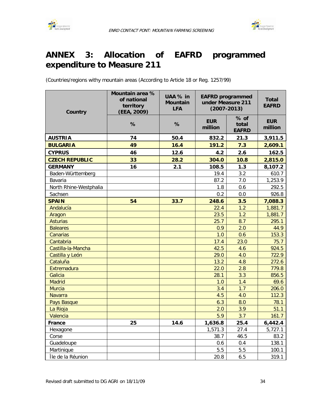



# **ANNEX 3: Allocation of EAFRD programmed expenditure to Measure 211**

(Countries/regions withy mountain areas (According to Article 18 or Reg. 1257/99)

| Country                | Mountain area %<br>of national<br>territory<br>(EEA, 2009) | UAA % in<br><b>Mountain</b><br><b>LFA</b> | <b>EAFRD</b> programmed<br>under Measure 211<br>$(2007 - 2013)$ |                               | <b>Total</b><br><b>EAFRD</b> |
|------------------------|------------------------------------------------------------|-------------------------------------------|-----------------------------------------------------------------|-------------------------------|------------------------------|
|                        | %                                                          | %                                         | <b>EUR</b><br>million                                           | % of<br>total<br><b>EAFRD</b> | <b>EUR</b><br>million        |
| <b>AUSTRIA</b>         | 74                                                         | 50.4                                      | 832.2                                                           | 21.3                          | 3,911.5                      |
| <b>BULGARIA</b>        | 49                                                         | 16.4                                      | 191.2                                                           | 7.3                           | 2,609.1                      |
| <b>CYPRUS</b>          | 46                                                         | 12.6                                      | 4.2                                                             | 2.6                           | 162.5                        |
| <b>CZECH REPUBLIC</b>  | 33                                                         | 28.2                                      | 304.0                                                           | 10.8                          | 2,815.0                      |
| <b>GERMANY</b>         | 16                                                         | 2.1                                       | 108.5                                                           | 1.3                           | 8,107.2                      |
| Baden-Württemberg      |                                                            |                                           | 19.4                                                            | 3.2                           | 610.7                        |
| Bavaria                |                                                            |                                           | 87.2                                                            | 7.0                           | 1,253.9                      |
| North Rhine-Westphalia |                                                            |                                           | 1.8                                                             | 0.6                           | 292.5                        |
| Sachsen                |                                                            |                                           | 0.2                                                             | 0.0                           | 926.8                        |
| <b>SPAIN</b>           | 54                                                         | 33.7                                      | 248.6                                                           | 3.5                           | 7,088.3                      |
| Andalucía              |                                                            |                                           | 22.4                                                            | 1.2                           | 1,881.7                      |
| Aragon                 |                                                            |                                           | 23.5                                                            | 1.2                           | 1,881.7                      |
| <b>Asturias</b>        |                                                            |                                           | 25.7                                                            | 8.7                           | 295.1                        |
| <b>Baleares</b>        |                                                            |                                           | 0.9                                                             | 2.0                           | 44.9                         |
| Canarias               |                                                            |                                           | 1.0                                                             | 0.6                           | 153.3                        |
| Cantabria              |                                                            |                                           | 17.4                                                            | 23.0                          | 75.7                         |
| Castilla-la-Mancha     |                                                            |                                           | 42.5                                                            | 4.6                           | 924.5                        |
| Castilla y León        |                                                            |                                           | 29.0                                                            | 4.0                           | 722.9                        |
| Cataluña               |                                                            |                                           | 13.2                                                            | 4.8                           | 272.6                        |
| Extremadura            |                                                            |                                           | 22.0                                                            | 2.8                           | 779.8                        |
| Galicia                |                                                            |                                           | 28.1                                                            | 3.3                           | 856.5                        |
| <b>Madrid</b>          |                                                            |                                           | 1.0                                                             | 1.4                           | 69.6                         |
| <b>Murcia</b>          |                                                            |                                           | 3.4                                                             | 1.7                           | 206.0                        |
| <b>Navarra</b>         |                                                            |                                           | 4.5                                                             | 4.0                           | 112.3                        |
| Pays Basque            |                                                            |                                           | 6.3                                                             | 8.0                           | 78.1                         |
| La Rioja               |                                                            |                                           | 2.0                                                             | 3.9                           | 51.1                         |
| Valencia               |                                                            |                                           | 5.9                                                             | 3.7                           | 161.7                        |
| <b>France</b>          | 25                                                         | 14.6                                      | 1,636.8                                                         | 25.4                          | 6,442.4                      |
| Hexagone               |                                                            |                                           | 1,571.3                                                         | 27.4                          | 5,727.1                      |
| Corse                  |                                                            |                                           | 38.7                                                            | 46.5                          | 83.2                         |
| Guadeloupe             |                                                            |                                           | 0.6                                                             | 0.4                           | 138.1                        |
| Martinique             |                                                            |                                           | 5.5                                                             | 5.5                           | 100.1                        |
| Île de la Réunion      |                                                            |                                           | 20.8                                                            | 6.5                           | 319.1                        |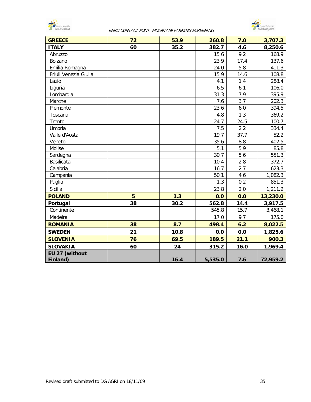

#### ENRD CONTACT PONT: MOUNTAIN FARMING SCREENING



| <b>GREECE</b>         | 72 | 53.9 | 260.8   | 7.0  | 3,707.3  |
|-----------------------|----|------|---------|------|----------|
| <b>ITALY</b>          | 60 | 35.2 | 382.7   | 4.6  | 8,250.6  |
| Abruzzo               |    |      | 15.6    | 9.2  | 168.9    |
| Bolzano               |    |      | 23.9    | 17.4 | 137.6    |
| Emilia Romagna        |    |      | 24.0    | 5.8  | 411.3    |
| Friuli Venezia Giulia |    |      | 15.9    | 14.6 | 108.8    |
| Lazio                 |    |      | 4.1     | 1.4  | 288.4    |
| Liguria               |    |      | 6.5     | 6.1  | 106.0    |
| Lombardia             |    |      | 31.3    | 7.9  | 395.9    |
| Marche                |    |      | 7.6     | 3.7  | 202.3    |
| Piemonte              |    |      | 23.6    | 6.0  | 394.5    |
| Toscana               |    |      | 4.8     | 1.3  | 369.2    |
| Trento                |    |      | 24.7    | 24.5 | 100.7    |
| Umbria                |    |      | 7.5     | 2.2  | 334.4    |
| Valle d'Aosta         |    |      | 19.7    | 37.7 | 52.2     |
| Veneto                |    |      | 35.6    | 8.8  | 402.5    |
| Molise                |    |      | 5.1     | 5.9  | 85.8     |
| Sardegna              |    |      | 30.7    | 5.6  | 551.3    |
| Basilicata            |    |      | 10.4    | 2.8  | 372.7    |
| Calabria              |    |      | 16.7    | 2.7  | 623.3    |
| Campania              |    |      | 50.1    | 4.6  | 1,082.3  |
| Puglia                |    |      | 1.3     | 0.2  | 851.3    |
| <b>Sicilia</b>        |    |      | 23.8    | 2.0  | 1,211.2  |
| <b>POLAND</b>         | 5  | 1.3  | 0.0     | 0.0  | 13,230.0 |
| Portugal              | 38 | 30.2 | 562.8   | 14.4 | 3,917.5  |
| Continente            |    |      | 545.8   | 15.7 | 3,468.1  |
| Madeira               |    |      | 17.0    | 9.7  | 175.0    |
| <b>ROMANIA</b>        | 38 | 8.7  | 498.4   | 6.2  | 8,022.5  |
| <b>SWEDEN</b>         | 21 | 10.8 | 0.0     | 0.0  | 1,825.6  |
| <b>SLOVENIA</b>       | 76 | 69.5 | 189.5   | 21.1 | 900.3    |
| <b>SLOVAKIA</b>       | 60 | 24   | 315.2   | 16.0 | 1,969.4  |
| EU 27 (without        |    |      |         |      |          |
| Finland)              |    | 16.4 | 5,535.0 | 7.6  | 72,959.2 |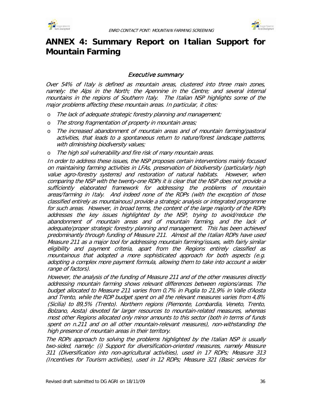



# **ANNEX 4: Summary Report on Italian Support for Mountain Farming**

### Executive summary

Over 54% of Italy is defined as mountain areas, clustered into three main zones, namely: the Alps in the North; the Apennine in the Centre; and several internal mountains in the regions of Southern Italy. The Italian NSP highlights some of the major problems affecting these mountain areas. In particular, it cites:

- o The lack of adequate strategic forestry planning and management;
- o The strong fragmentation of property in mountain areas;
- o The increased abandonment of mountain areas and of mountain farming/pastoral activities, that leads to a spontaneous return to nature/forest landscape patterns, with diminishing biodiversity values;
- o The high soil vulnerability and fire risk of many mountain areas.

In order to address these issues, the NSP proposes certain interventions mainly focused on maintaining farming activities in LFAs, preservation of biodiversity (particularly high value agro-forestry systems) and restoration of natural habitats. However, when comparing the NSP with the twenty-one RDPs it is clear that the NSP does not provide a sufficiently elaborated framework for addressing the problems of mountain areas/farming in Italy. And indeed none of the RDPs (with the exception of those classified entirely as mountainous) provide a strategic analysis or integrated programme for such areas. However, in broad terms, the content of the large majority of the RDPs addresses the key issues highlighted by the NSP, trying to avoid/reduce the abandonment of mountain areas and of mountain farming, and the lack of adequate/proper strategic forestry planning and management. This has been achieved predominantly through funding of Measure 211. Almost all the Italian RDPs have used Measure 211 as a major tool for addressing mountain farming/issues, with fairly similar eligibility and payment criteria, apart from the Regions entirely classified as mountainous that adopted a more sophisticated approach for both aspects (e.g. adopting a complex more payment formula, allowing them to take into account a wider range of factors).

However, the analysis of the funding of Measure 211 and of the other measures directly addressing mountain farming shows relevant differences between regions/areas. The budget allocated to Measure 211 varies from 0,7% in Puglia to 21,9% in Valle d'Aosta and Trento, while the RDP budget spent on all the relevant measures varies from 4,8% (Sicilia) to 89,5% (Trento). Northern regions (Piemonte, Lombardia, Veneto, Trento, Bolzano, Aosta) devoted far larger resources to mountain-related measures, whereas most other Regions allocated only minor amounts to this sector (both in terms of funds spent on n.211 and on all other mountain-relevant measures), non-withstanding the high presence of mountain areas in their territory.

The RDPs approach to solving the problems highlighted by the Italian NSP is usually two-sided, namely: (i) Support for diversification-oriented measures, namely Measure 311 (Diversification into non-agricultural activities), used in 17 RDPs; Measure 313 (Incentives for Tourism activities), used in 12 RDPs; Measure 321 (Basic services for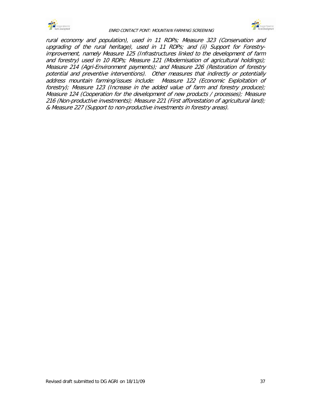



rural economy and population), used in 11 RDPs; Measure 323 (Conservation and upgrading of the rural heritage), used in 11 RDPs; and (ii) Support for Forestryimprovement, namely Measure 125 (Infrastructures linked to the development of farm and forestry) used in 10 RDPs; Measure 121 (Modernisation of agricultural holdings); Measure 214 (Agri-Environment payments); and Measure 226 (Restoration of forestry potential and preventive interventions). Other measures that indirectly or potentially address mountain farming/issues include: Measure 122 (Economic Exploitation of forestry); Measure 123 (Increase in the added value of farm and forestry produce); Measure 124 (Cooperation for the development of new products / processes); Measure 216 (Non-productive investments); Measure 221 (First afforestation of agricultural land); & Measure 227 (Support to non-productive investments in forestry areas).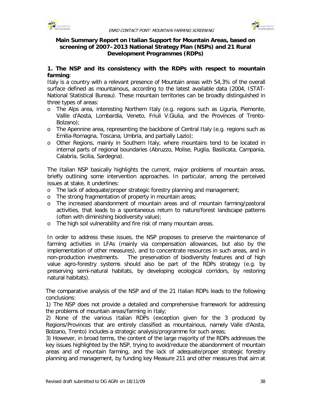



### **Main Summary Report on Italian Support for Mountain Areas, based on screening of 2007–2013 National Strategy Plan (NSPs) and 21 Rural Development Programmes (RDPs)**

## **1. The NSP and its consistency with the RDPs with respect to mountain farming**:

Italy is a country with a relevant presence of Mountain areas with 54,3% of the overall surface defined as mountainous, according to the latest available data (2004, ISTAT-National Statistical Bureau). These mountain territories can be broadly distinguished in three types of areas:

- o The Alps area, interesting Northern Italy (e.g. regions such as Liguria, Piemonte, Vallle d'Aosta, Lombardia, Veneto, Friuli V.Giulia, and the Provinces of Trento-Bolzano);
- o The Apennine area, representing the backbone of Central Italy (e.g. regions such as Emilia-Romagna, Toscana, Umbria, and partially Lazio);
- o Other Regions, mainly in Southern Italy, where mountains tend to be located in internal parts of regional boundaries (Abruzzo, Molise, Puglia, Basilicata, Campania, Calabria, Sicilia, Sardegna).

The Italian NSP basically highlights the current, major problems of mountain areas, briefly outlining some intervention approaches. In particular, among the perceived issues at stake, it underlines:

- o The lack of adequate/proper strategic forestry planning and management;
- o The strong fragmentation of property in mountain areas;
- o The increased abandonment of mountain areas and of mountain farming/pastoral activities, that leads to a spontaneous return to nature/forest landscape patterns (often with diminishing biodiversity value);
- o The high soil vulnerability and fire risk of many mountain areas.

In order to address these issues, the NSP proposes to preserve the maintenance of farming activities in LFAs (mainly via compensation allowances, but also by the implementation of other measures), and to concentrate resources in such areas, and in non-production investments. The preservation of biodiversity features and of high value agro-forestry systems should also be part of the RDPs strategy (e.g. by preserving semi-natural habitats, by developing ecological corridors, by restoring natural habitats).

The comparative analysis of the NSP and of the 21 Italian RDPs leads to the following conclusions:

1) The NSP does not provide a detailed and comprehensive framework for addressing the problems of mountain areas/farming in Italy;

2) None of the various Italian RDPs (exception given for the 3 produced by Regions/Provinces that are entirely classified as mountainous, namely Valle d'Aosta, Bolzano, Trento) includes a strategic analysis/programme for such areas;

3) However, in broad terms, the content of the large majority of the RDPs addresses the key issues highlighted by the NSP, trying to avoid/reduce the abandonment of mountain areas and of mountain farming, and the lack of adequate/proper strategic forestry planning and management, by funding key Measure 211 and other measures that aim at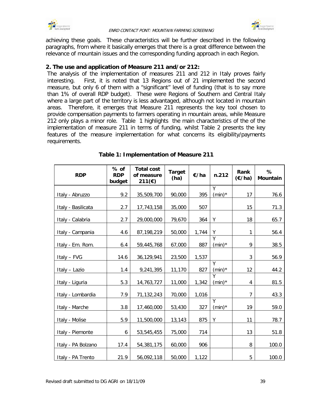



achieving these goals. These characteristics will be further described in the following paragraphs, from where it basically emerges that there is a great difference between the relevance of mountain issues and the corresponding funding approach in each Region.

#### **2. The use and application of Measure 211 and/or 212:**

The analysis of the implementation of measures 211 and 212 in Italy proves fairly interesting. First, it is noted that 13 Regions out of 21 implemented the second measure, but only 6 of them with a "significant" level of funding (that is to say more than 1% of overall RDP budget). These were Regions of Southern and Central Italy where a large part of the territory is less advantaged, although not located in mountain areas. Therefore, it emerges that Measure 211 represents the key tool chosen to provide compensation payments to farmers operating in mountain areas, while Measure 212 only plays a minor role. Table 1 highlights the main characteristics of the of the implementation of measure 211 in terms of funding, whilst Table 2 presents the key features of the measure implementation for what concerns its eligibility/payments requirements.

| <b>RDP</b>         | % of<br><b>RDP</b><br>budget | <b>Total cost</b><br>of measure<br>211(€) | <b>Target</b><br>€/ha<br>(ha) |       | n.212                       | Rank<br>$(\epsilon/ha)$ | %<br><b>Mountain</b> |
|--------------------|------------------------------|-------------------------------------------|-------------------------------|-------|-----------------------------|-------------------------|----------------------|
|                    | 9.2                          | 35,509,700                                | 90,000                        | 395   | Y<br>$(min)^*$              | 17                      | 76.6                 |
| Italy - Abruzzo    |                              |                                           |                               |       |                             |                         |                      |
| Italy - Basilicata | 2.7                          | 17,743,158                                | 35,000                        | 507   |                             | 15                      | 71.3                 |
| Italy - Calabria   | 2.7                          | 29,000,000                                | 79,670                        | 364   | Υ                           | 18                      | 65.7                 |
| Italy - Campania   | 4.6                          | 87,198,219                                | 50,000                        | 1,744 | Υ                           | $\mathbf{1}$            | 56.4                 |
| Italy - Em. Rom.   | 6.4                          | 59,445,768                                | 67,000                        | 887   | $\overline{Y}$<br>$(min)^*$ | 9                       | 38.5                 |
| Italy - FVG        | 14.6                         | 36,129,941                                | 23,500                        | 1,537 |                             | 3                       | 56.9                 |
| Italy - Lazio      | 1.4                          | 9,241,395                                 | 11,170                        | 827   | Y<br>$(min)^*$              | 12                      | 44.2                 |
| Italy - Liguria    | 5.3                          | 14,763,727                                | 11,000                        | 1,342 | $\overline{Y}$<br>$(min)^*$ | 4                       | 81.5                 |
| Italy - Lombardia  | 7.9                          | 71,132,243                                | 70,000                        | 1,016 |                             | 7                       | 43.3                 |
| Italy - Marche     | 3.8                          | 17,460,000                                | 53,430                        | 327   | Y<br>$(min)^*$              | 19                      | 59.0                 |
| Italy - Molise     | 5.9                          | 11,500,000                                | 13,143                        | 875   | Υ                           | 11                      | 78.7                 |
| Italy - Piemonte   | 6                            | 53,545,455                                | 75,000                        | 714   |                             | 13                      | 51.8                 |
| Italy - PA Bolzano | 17.4                         | 54,381,175                                | 60,000                        | 906   |                             | 8                       | 100.0                |
| Italy - PA Trento  | 21.9                         | 56,092,118                                | 50,000                        | 1,122 |                             | 5                       | 100.0                |

## **Table 1: Implementation of Measure 211**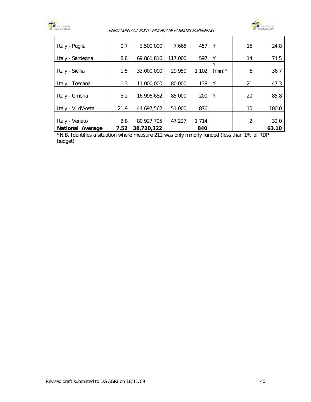

#### ENRD CONTACT PONT: MOUNTAIN FARMING SCREENING



| Italy - Puglia          | 0.7  | 3,500,000  | 7,666   | 457   | Υ         | 16 | 24.8  |
|-------------------------|------|------------|---------|-------|-----------|----|-------|
|                         |      |            |         |       |           |    |       |
| Italy - Sardegna        | 8.8  | 69,861,816 | 117,000 | 597   | Υ         | 14 | 74.5  |
|                         |      |            |         |       | v         |    |       |
| Italy - Sicilia         | 1.5  | 33,000,000 | 29,950  | 1,102 | $(min)^*$ | 6  | 36.7  |
|                         |      |            |         |       |           |    |       |
| Italy - Toscana         | 1.3  | 11,000,000 | 80,000  | 138   | Υ         | 21 | 47.3  |
|                         |      |            |         |       |           |    |       |
| Italy - Umbria          | 5.2  | 16,996,682 | 85,000  | 200   | Υ         | 20 | 85.8  |
|                         |      |            |         |       |           |    |       |
| Italy - V. d'Aosta      | 21.9 | 44,697,562 | 51,000  | 876   |           | 10 | 100.0 |
|                         |      |            |         |       |           |    |       |
| Italy - Veneto          | 8.8  | 80,927,795 | 47,227  | 1,714 |           | 2  | 32.0  |
| <b>National Average</b> | 7.52 | 38,720,322 |         | 840   |           |    | 63.10 |

\*N.B. Identifies a situation where measure 212 was only minorly funded (less than 1% of RDP budget)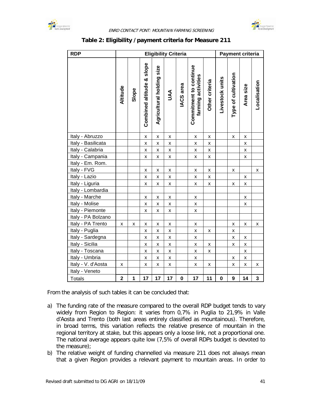



| <b>RDP</b>         |                         | <b>Eligibility Criteria</b> |                           |                           |                    |             |                                              |                    | <b>Payment criteria</b> |                     |                    |              |
|--------------------|-------------------------|-----------------------------|---------------------------|---------------------------|--------------------|-------------|----------------------------------------------|--------------------|-------------------------|---------------------|--------------------|--------------|
|                    | Altitude                | Slope                       | Combined altitude & slope | Agricultural holding size | JAA                | IACS area   | Commitment to continue<br>farming activities | Other criteria     | Livestock units         | Type of cultivation | Area size          | Localisation |
| Italy - Abruzzo    |                         |                             | $\pmb{\mathsf{X}}$        | X                         | $\pmb{\mathsf{X}}$ |             | X                                            | X                  |                         | $\pmb{\mathsf{X}}$  | $\pmb{\mathsf{X}}$ |              |
| Italy - Basilicata |                         |                             | $\pmb{\mathsf{X}}$        | X                         | $\pmb{\mathsf{X}}$ |             | $\pmb{\mathsf{X}}$                           | X                  |                         |                     | X                  |              |
| Italy - Calabria   |                         |                             | X                         | X                         | X                  |             | X                                            | X                  |                         |                     | X                  |              |
| Italy - Campania   |                         |                             | $\pmb{\mathsf{X}}$        | X                         | $\pmb{\mathsf{X}}$ |             | X                                            | X                  |                         |                     | $\pmb{\mathsf{X}}$ |              |
| Italy - Em. Rom.   |                         |                             |                           |                           |                    |             |                                              |                    |                         |                     |                    |              |
| Italy - FVG        |                         |                             | $\pmb{\mathsf{X}}$        | X                         | X                  |             | X                                            | X                  |                         | X                   |                    | x            |
| Italy - Lazio      |                         |                             | $\pmb{\mathsf{X}}$        | X                         | X                  |             | X                                            | X                  |                         |                     | X                  |              |
| Italy - Liguria    |                         |                             | $\pmb{\mathsf{X}}$        | X                         | X                  |             | X                                            | X                  |                         | X                   | X                  |              |
| Italy - Lombardia  |                         |                             |                           |                           |                    |             |                                              |                    |                         |                     |                    |              |
| Italy - Marche     |                         |                             | $\pmb{\mathsf{x}}$        | $\pmb{\mathsf{X}}$        | $\pmb{\mathsf{X}}$ |             | X                                            |                    |                         |                     | X                  |              |
| Italy - Molise     |                         |                             | $\pmb{\mathsf{X}}$        | X                         | $\pmb{\mathsf{X}}$ |             | X                                            |                    |                         |                     | X                  |              |
| Italy - Piemonte   |                         |                             | X                         | X                         | Χ                  |             | X                                            |                    |                         |                     |                    |              |
| Italy - PA Bolzano |                         |                             |                           |                           |                    |             |                                              |                    |                         |                     |                    |              |
| Italy - PA Trento  | x                       | x                           | Χ                         | X                         | X                  |             | X                                            |                    |                         | X                   | X                  | x            |
| Italy - Puglia     |                         |                             | X                         | X                         | X                  |             | X                                            | X                  |                         | X                   |                    |              |
| Italy - Sardegna   |                         |                             | X                         | x                         | X                  |             | X                                            |                    |                         | X                   | X                  |              |
| Italy - Sicilia    |                         |                             | $\pmb{\mathsf{X}}$        | $\pmb{\mathsf{X}}$        | $\pmb{\mathsf{X}}$ |             | $\pmb{\mathsf{X}}$                           | $\pmb{\mathsf{X}}$ |                         | $\mathsf{x}$        | $\mathsf{X}$       |              |
| Italy - Toscana    |                         |                             | $\pmb{\mathsf{X}}$        | $\pmb{\times}$            | X                  |             | X                                            | X                  |                         |                     | $\pmb{\mathsf{X}}$ |              |
| Italy - Umbria     |                         |                             | $\pmb{\mathsf{x}}$        | $\pmb{\mathsf{X}}$        | X                  |             | X                                            |                    |                         | $\pmb{\mathsf{X}}$  | X                  |              |
| Italy - V. d'Aosta | X                       |                             | X                         | X                         | $\pmb{\mathsf{X}}$ |             | X                                            | X                  |                         | $\pmb{\mathsf{X}}$  | $\pmb{\mathsf{X}}$ | X            |
| Italy - Veneto     |                         |                             |                           |                           |                    |             |                                              |                    |                         |                     |                    |              |
| <b>Totals</b>      | $\overline{\mathbf{2}}$ | $\mathbf{1}$                | 17                        | 17                        | 17                 | $\mathbf 0$ | 17                                           | 11                 | $\mathbf 0$             | 9                   | 14                 | 3            |

## **Table 2: Eligibility /payment criteria for Measure 211**

From the analysis of such tables it can be concluded that:

- a) The funding rate of the measure compared to the overall RDP budget tends to vary widely from Region to Region: it varies from 0,7% in Puglia to 21,9% in Valle d'Aosta and Trento (both last areas entirely classified as mountainous). Therefore, in broad terms, this variation reflects the relative presence of mountain in the regional territory at stake, but this appears only a loose link, not a proportional one. The national average appears quite low (7,5% of overall RDPs budget is devoted to the measure);
- b) The relative weight of funding channelled via measure 211 does not always mean that a given Region provides a relevant payment to mountain areas. In order to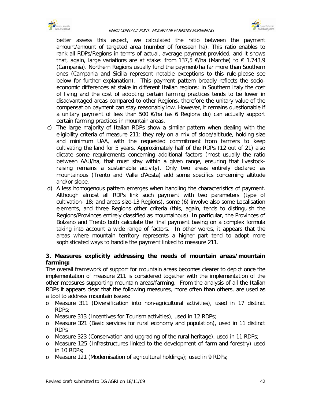



better assess this aspect, we calculated the ratio between the payment amount/amount of targeted area (number of foreseen ha). This ratio enables to rank all RDPs/Regions in terms of actual, average payment provided, and it shows that, again, large variations are at stake: from 137,5  $\epsilon$ /ha (Marche) to  $\epsilon$  1.743,9 (Campania). Northern Regions usually fund the payment/ha far more than Southern ones (Campania and Sicilia represent notable exceptions to this rule-please see below for further explanation). This payment pattern broadly reflects the socioeconomic differences at stake in different Italian regions: in Southern Italy the cost of living and the cost of adopting certain farming practices tends to be lower in disadvantaged areas compared to other Regions, therefore the unitary value of the compensation payment can stay reasonably low. However, it remains questionable if a unitary payment of less than 500 €/ha (as 6 Regions do) can actually support certain farming practices in mountain areas.

- c) The large majority of Italian RDPs show a similar pattern when dealing with the eligibility criteria of measure 211: they rely on a mix of slope/altitude, holding size and minimum UAA, with the requested commitment from farmers to keep cultivating the land for 5 years. Approximately half of the RDPs (12 out of 21) also dictate some requirements concerning additional factors (most usually the ratio between AAU/ha, that must stay within a given range, ensuring that livestockraising remains a sustainable activity). Only two areas entirely declared as mountainous (Trento and Valle d'Aosta) add some specifics concerning altitude and/or slope.
- d) A less homogenous pattern emerges when handling the characteristics of payment. Although almost all RDPs link such payment with two parameters (type of cultivation- 18; and areas size-13 Regions), some (6) involve also some Localisation elements, and three Regions other criteria (this, again, tends to distinguish the Regions/Provinces entirely classified as mountainous). In particular, the Provinces of Bolzano and Trento both calculate the final payment basing on a complex formula taking into account a wide range of factors. In other words, it appears that the areas where mountain territory represents a higher part tend to adopt more sophisticated ways to handle the payment linked to measure 211.

## **3. Measures explicitly addressing the needs of mountain areas/mountain farming:**

The overall framework of support for mountain areas becomes clearer to depict once the implementation of measure 211 is considered together with the implementation of the other measures supporting mountain areas/farming. From the analysis of all the Italian RDPs it appears clear that the following measures, more often than others, are used as a tool to address mountain issues:

- o Measure 311 (Diversification into non-agricultural activities), used in 17 distinct RDPs;
- o Measure 313 (Incentives for Tourism activities), used in 12 RDPs;
- o Measure 321 (Basic services for rural economy and population), used in 11 distinct RDPs
- o Measure 323 (Conservation and upgrading of the rural heritage), used in 11 RDPs;
- o Measure 125 (Infrastructures linked to the development of farm and forestry) used in 10 RDPs;
- o Measure 121 (Modernisation of agricultural holdings); used in 9 RDPs;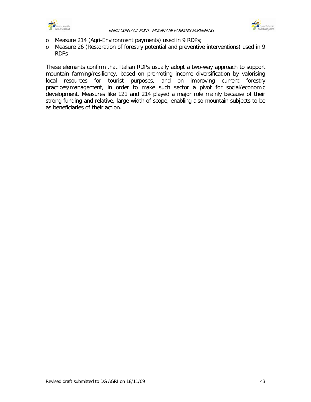



- o Measure 214 (Agri-Environment payments) used in 9 RDPs;
- o Measure 26 (Restoration of forestry potential and preventive interventions) used in 9 RDPs

These elements confirm that Italian RDPs usually adopt a two-way approach to support mountain farming/resiliency, based on promoting income diversification by valorising local resources for tourist purposes, and on improving current forestry practices/management, in order to make such sector a pivot for social/economic development. Measures like 121 and 214 played a major role mainly because of their strong funding and relative, large width of scope, enabling also mountain subjects to be as beneficiaries of their action.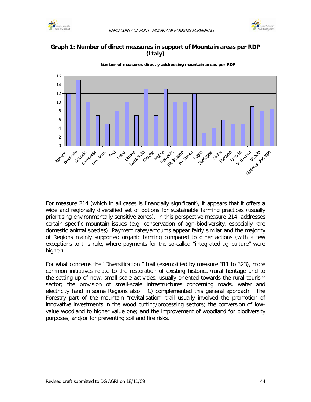







For measure 214 (which in all cases is financially significant), it appears that it offers a wide and regionally diversified set of options for sustainable farming practices (usually prioritising environmentally sensitive zones). In this perspective measure 214, addresses certain specific mountain issues (e.g. conservation of agri-biodiversity, especially rare domestic animal species). Payment rates/amounts appear fairly similar and the majority of Regions mainly supported organic farming compared to other actions (with a few exceptions to this rule, where payments for the so-called "integrated agriculture" were higher).

For what concerns the "Diversification " trail (exemplified by measure 311 to 323), more common initiatives relate to the restoration of existing historical/rural heritage and to the setting-up of new, small scale activities, usually oriented towards the rural tourism sector; the provision of small-scale infrastructures concerning roads, water and electricity (and in some Regions also ITC) complemented this general approach. The Forestry part of the mountain "revitalisation" trail usually involved the promotion of innovative investments in the wood cutting/processing sectors; the conversion of lowvalue woodland to higher value one; and the improvement of woodland for biodiversity purposes, and/or for preventing soil and fire risks.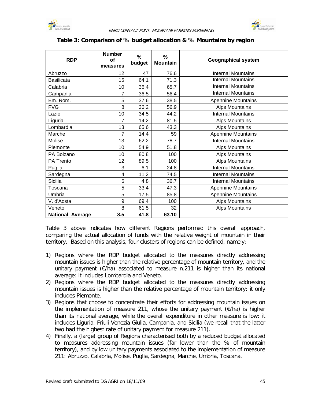



### **Table 3: Comparison of % budget allocation & % Mountains by region**

| <b>RDP</b>              | <b>Number</b><br><b>of</b><br>measures | %<br>budget | %<br><b>Mountain</b> | <b>Geographical system</b> |
|-------------------------|----------------------------------------|-------------|----------------------|----------------------------|
| Abruzzo                 | 12                                     | 47          | 76.6                 | <b>Internal Mountains</b>  |
| <b>Basilicata</b>       | 15                                     | 64.1        | 71.3                 | <b>Internal Mountains</b>  |
| Calabria                | 10                                     | 36.4        | 65.7                 | <b>Internal Mountains</b>  |
| Campania                | 7                                      | 36.5        | 56.4                 | <b>Internal Mountains</b>  |
| Em. Rom.                | 5                                      | 37.6        | 38.5                 | <b>Apennine Mountains</b>  |
| <b>FVG</b>              | 8                                      | 36.2        | 56.9                 | Alps Mountains             |
| Lazio                   | 10                                     | 34.5        | 44.2                 | <b>Internal Mountains</b>  |
| Liguria                 | 7                                      | 14.2        | 81.5                 | <b>Alps Mountains</b>      |
| Lombardia               | 13                                     | 65.6        | 43.3                 | <b>Alps Mountains</b>      |
| Marche                  | 7                                      | 14.4        | 59                   | <b>Apennine Mountains</b>  |
| Molise                  | 13                                     | 62.2        | 78.7                 | <b>Internal Mountains</b>  |
| Piemonte                | 10                                     | 54.9        | 51.8                 | <b>Alps Mountains</b>      |
| PA Bolzano              | 10                                     | 80.8        | 100                  | <b>Alps Mountains</b>      |
| <b>PA Trento</b>        | 12                                     | 89.5        | 100                  | <b>Alps Mountains</b>      |
| Puglia                  | 3                                      | 6.1         | 24.8                 | <b>Internal Mountains</b>  |
| Sardegna                | 4                                      | 11.2        | 74.5                 | <b>Internal Mountains</b>  |
| <b>Sicilia</b>          | 6                                      | 4.8         | 36.7                 | <b>Internal Mountains</b>  |
| Toscana                 | 5                                      | 33.4        | 47.3                 | <b>Apennine Mountains</b>  |
| Umbria                  | 5                                      | 17.5        | 85.8                 | <b>Apennine Mountains</b>  |
| V. d'Aosta              | 9                                      | 69.4        | 100                  | <b>Alps Mountains</b>      |
| Veneto                  | 8                                      | 61.5        | 32                   | <b>Alps Mountains</b>      |
| <b>National Average</b> | 8.5                                    | 41.8        | 63.10                |                            |

Table 3 above indicates how different Regions performed this overall approach, comparing the actual allocation of funds with the relative weight of mountain in their territory. Based on this analysis, four clusters of regions can be defined, namely:

- 1) Regions where the RDP budget allocated to the measures directly addressing mountain issues is higher than the relative percentage of mountain territory, and the unitary payment (€/ha) associated to measure n.211 is higher than its national average: it includes Lombardia and Veneto.
- 2) Regions where the RDP budget allocated to the measures directly addressing mountain issues is higher than the relative percentage of mountain territory: it only includes Piemonte.
- 3) Regions that choose to concentrate their efforts for addressing mountain issues on the implementation of measure 211, whose the unitary payment  $(\epsilon/ha)$  is higher than its national average, while the overall expenditure in other measure is low: it includes Liguria, Friuli Venezia Giulia, Campania, and Sicilia (we recall that the latter two had the highest rate of unitary payment for measure 211).
- 4) Finally, a (large) group of Regions characterised both by a reduced budget allocated to measures addressing mountain issues (far lower than the % of mountain territory), and by low unitary payments associated to the implementation of measure 211: Abruzzo, Calabria, Molise, Puglia, Sardegna, Marche, Umbria, Toscana.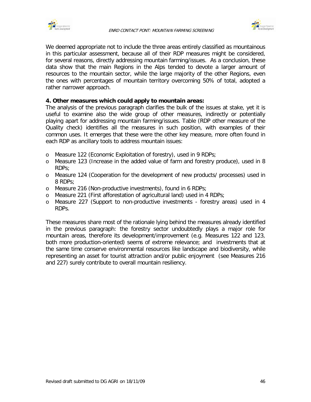



We deemed appropriate not to include the three areas entirely classified as mountainous in this particular assessment, because all of their RDP measures might be considered, for several reasons, directly addressing mountain farming/issues. As a conclusion, these data show that the main Regions in the Alps tended to devote a larger amount of resources to the mountain sector, while the large majority of the other Regions, even the ones with percentages of mountain territory overcoming 50% of total, adopted a rather narrower approach.

#### **4. Other measures which could apply to mountain areas:**

The analysis of the previous paragraph clarifies the bulk of the issues at stake, yet it is useful to examine also the wide group of other measures, indirectly or potentially playing apart for addressing mountain farming/issues. Table (RDP other measure of the Quality check) identifies all the measures in such position, with examples of their common uses. It emerges that these were the other key measure, more often found in each RDP as ancillary tools to address mountain issues:

- o Measure 122 (Economic Exploitation of forestry), used in 9 RDPs;
- o Measure 123 (Increase in the added value of farm and forestry produce), used in 8 RDPs;
- o Measure 124 (Cooperation for the development of new products/ processes) used in 8 RDPs;
- o Measure 216 (Non-productive investments), found in 6 RDPs;
- o Measure 221 (First afforestation of agricultural land) used in 4 RDPs;
- o Measure 227 (Support to non-productive investments forestry areas) used in 4 RDPs.

These measures share most of the rationale lying behind the measures already identified in the previous paragraph: the forestry sector undoubtedly plays a major role for mountain areas, therefore its development/improvement (e.g. Measures 122 and 123, both more production-oriented) seems of extreme relevance; and investments that at the same time conserve environmental resources like landscape and biodiversity, while representing an asset for tourist attraction and/or public enjoyment (see Measures 216 and 227) surely contribute to overall mountain resiliency.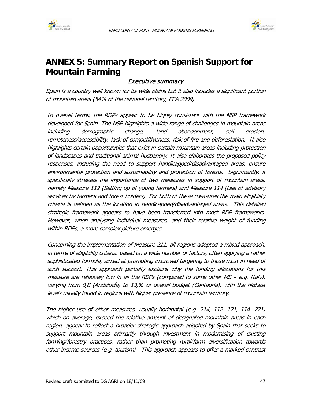



# **ANNEX 5: Summary Report on Spanish Support for Mountain Farming**

# Executive summary

Spain is a country well known for its wide plains but it also includes a significant portion of mountain areas (54% of the national territory, EEA 2009).

In overall terms, the RDPs appear to be highly consistent with the NSP framework developed for Spain. The NSP highlights a wide range of challenges in mountain areas including demographic change; land abandonment; soil erosion; remoteness/accessibility; lack of competitiveness; risk of fire and deforestation. It also highlights certain opportunities that exist in certain mountain areas including protection of landscapes and traditional animal husbandry. It also elaborates the proposed policy responses, including the need to support handicapped/disadvantaged areas, ensure environmental protection and sustainability and protection of forests. Significantly, it specifically stresses the importance of two measures in support of mountain areas, namely Measure 112 (Setting up of young farmers) and Measure 114 (Use of advisory services by farmers and forest holders). For both of these measures the main eligibility criteria is defined as the location in handicapped/disadvantaged areas. This detailed strategic framework appears to have been transferred into most RDP frameworks. However, when analysing individual measures, and their relative weight of funding within RDPs, a more complex picture emerges.

Concerning the implementation of Measure 211, all regions adopted a mixed approach, in terms of eligibility criteria, based on a wide number of factors, often applying a rather sophisticated formula, aimed at promoting improved targeting to those most in need of such support. This approach partially explains why the funding allocations for this measure are relatively low in all the RDPs (compared to some other MS – e.g. Italy), varying from 0,8 (Andalucía) to 13,% of overall budget (Cantabria), with the highest levels usually found in regions with higher presence of mountain territory.

The higher use of other measures, usually horizontal (e.g. 214, 112, 121, 114, 221) which on average, exceed the relative amount of designated mountain areas in each region, appear to reflect a broader strategic approach adopted by Spain that seeks to support mountain areas primarily through investment in modernising of existing farming/forestry practices, rather than promoting rural/farm diversification towards other income sources (e.g. tourism). This approach appears to offer a marked contrast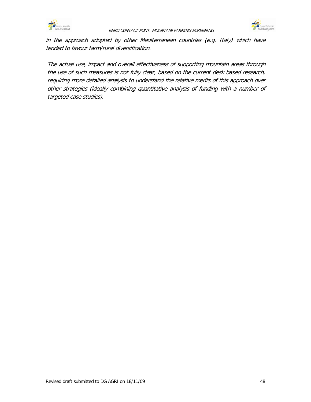



in the approach adopted by other Mediterranean countries (e.g. Italy) which have tended to favour farm/rural diversification.

The actual use, impact and overall effectiveness of supporting mountain areas through the use of such measures is not fully clear, based on the current desk based research, requiring more detailed analysis to understand the relative merits of this approach over other strategies (ideally combining quantitative analysis of funding with a number of targeted case studies).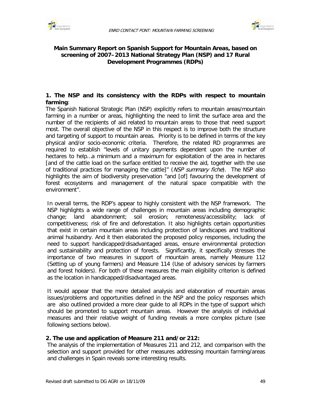



## **Main Summary Report on Spanish Support for Mountain Areas, based on screening of 2007–2013 National Strategy Plan (NSP) and 17 Rural Development Programmes (RDPs)**

## **1. The NSP and its consistency with the RDPs with respect to mountain farming**:

The Spanish National Strategic Plan (NSP) explicitly refers to mountain areas/mountain farming in a number or areas, highlighting the need to limit the surface area and the number of the recipients of aid related to mountain areas to those that need support most. The overall objective of the NSP in this respect is to improve both the structure and targeting of support to mountain areas. Priority is to be defined in terms of the key physical and/or socio-economic criteria. Therefore, the related RD programmes are required to establish "levels of unitary payments dependent upon the number of hectares to help…a minimum and a maximum for exploitation of the area in hectares [and of the cattle load on the surface entitled to receive the aid, together with the use of traditional practices for managing the cattle]" (NSP summary fiche). The NSP also highlights the aim of biodiversity preservation "and [of] favouring the development of forest ecosystems and management of the natural space compatible with the environment".

In overall terms, the RDP's appear to highly consistent with the NSP framework. The NSP highlights a wide range of challenges in mountain areas including demographic change; land abandonment; soil erosion; remoteness/accessibility; lack of competitiveness; risk of fire and deforestation. It also highlights certain opportunities that exist in certain mountain areas including protection of landscapes and traditional animal husbandry. And it then elaborated the proposed policy responses, including the need to support handicapped/disadvantaged areas, ensure environmental protection and sustainability and protection of forests. Significantly, it specifically stresses the importance of two measures in support of mountain areas, namely Measure 112 (Setting up of young farmers) and Measure 114 (Use of advisory services by farmers and forest holders). For both of these measures the main eligibility criterion is defined as the location in handicapped/disadvantaged areas.

It would appear that the more detailed analysis and elaboration of mountain areas issues/problems and opportunities defined in the NSP and the policy responses which are also outlined provided a more clear guide to all RDPs in the type of support which should be promoted to support mountain areas. However the analysis of individual measures and their relative weight of funding reveals a more complex picture (see following sections below).

#### **2. The use and application of Measure 211 and/or 212:**

The analysis of the implementation of Measures 211 and 212, and comparison with the selection and support provided for other measures addressing mountain farming/areas and challenges in Spain reveals some interesting results.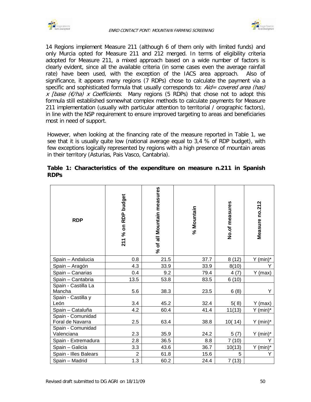

 $\Gamma$ 



14 Regions implement Measure 211 (although 6 of them only with limited funds) and only Murcia opted for Measure 211 and 212 merged. In terms of eligibility criteria adopted for Measure 211, a mixed approach based on a wide number of factors is clearly evident, since all the available criteria (in some cases even the average rainfall rate) have been used, with the exception of the IACS area approach. Also of significance, it appears many regions (7 RDPs) chose to calculate the payment via a specific and sophisticated formula that usually corresponds to:  $Aid = covered \text{ area (has)}$ x [base ( $\epsilon$ /ha) x Coefficients. Many regions (5 RDPs) that chose not to adopt this formula still established somewhat complex methods to calculate payments for Measure 211 implementation (usually with particular attention to territorial / orographic factors), in line with the NSP requirement to ensure improved targeting to areas and beneficiaries most in need of support.

However, when looking at the financing rate of the measure reported in Table 1, we see that it is usually quite low (national average equal to 3,4 % of RDP budget), with few exceptions logically represented by regions with a high presence of mountain areas in their territory (Asturias, Pais Vasco, Cantabria).

| <b>RDP</b>            | 211 % on RDP budget | % of all Mountain measures | % Mountain | No.of measures | Measure no.212 |
|-----------------------|---------------------|----------------------------|------------|----------------|----------------|
| Spain - Andalucia     | 0.8                 | 21.5                       | 37.7       | 8(12)          | $Y$ (min) $*$  |
| Spain - Aragón        | 4.3                 | 33.9                       | 33.9       | 8(10)          |                |
| Spain - Canarias      | 0.4                 | 9.2                        | 79.4       | 4(7)           | Y (max)        |
| Spain - Cantabria     | 13.5                | 53.8                       | 83.5       | 6(10)          |                |
| Spain - Castilla La   |                     |                            |            |                |                |
| Mancha                | 5.6                 | 38.3                       | 23.5       | 6(8)           | Y              |
| Spain - Castilla y    |                     |                            |            |                |                |
| León                  | 3.4                 | 45.2                       | 32.4       | 5(8)           | $Y$ (max)      |
| Spain - Cataluña      | 4.2                 | 60.4                       | 41.4       | 11(13)         | $Y$ (min) $^*$ |
| Spain - Comunidad     |                     |                            |            |                |                |
| Foral de Navarra      | 2.5                 | 63.4                       | 38.8       | 10(14)         | $Y$ (min) $^*$ |
| Spain - Comunidad     |                     |                            |            |                |                |
| Valenciana            | 2.3                 | 35.9                       | 24.2       | 5(7)           | Y (min)*       |
| Spain - Extremadura   | 2.8                 | 36.5                       | 8.8        | 7(10)          |                |
| Spain - Galicia       | 3.3                 | 43.6                       | 36.7       | 10(13)         | $Y$ (min) $*$  |
| Spain - Illes Balears | $\overline{2}$      | 61.8                       | 15.6       | 5              | Υ              |
| Spain - Madrid        | 1.3                 | 60.2                       | 24.4       | 7(13)          |                |

## **Table 1: Characteristics of the expenditure on measure n.211 in Spanish RDPs**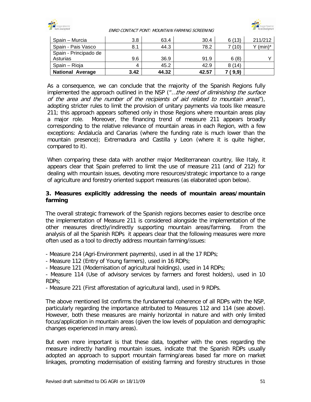

#### ENRD CONTACT PONT: MOUNTAIN FARMING SCREENING



| Spain - Murcia          | 3.8  | 63.4  | 30.4  | 6(13)  | 211/212                |
|-------------------------|------|-------|-------|--------|------------------------|
| Spain - Pais Vasco      | 8.1  | 44.3  | 78.2  | 7 (10) | $Y$ (min) <sup>*</sup> |
| Spain - Principado de   |      |       |       |        |                        |
| Asturias                | 9.6  | 36.9  | 91.9  | 6(8)   |                        |
| Spain – Rioja           | 4    | 45.2  | 42.9  | 8(14)  |                        |
| <b>National Average</b> | 3.42 | 44.32 | 42.57 | (9,9)  |                        |

As a consequence, we can conclude that the majority of the Spanish Regions fully implemented the approach outlined in the NSP ("...the need of diminishing the surface of the area and the number of the recipients of aid related to mountain areas"), adopting stricter rules to limit the provision of unitary payments via tools like measure 211; this approach appears softened only in those Regions where mountain areas play a major role. Moreover, the financing trend of measure 211 appears broadly corresponding to the relative relevance of mountain areas in each Region, with a few exceptions: Andalucía and Canarias (where the funding rate is much lower than the mountain presence); Extremadura and Castilla y Leon (where it is quite higher, compared to it).

When comparing these data with another major Mediterranean country, like Italy, it appears clear that Spain preferred to limit the use of measure 211 (and of 212) for dealing with mountain issues, devoting more resources/strategic importance to a range of agriculture and forestry oriented support measures (as elaborated upon below).

## **3. Measures explicitly addressing the needs of mountain areas/mountain farming**

The overall strategic framework of the Spanish regions becomes easier to describe once the implementation of Measure 211 is considered alongside the implementation of the other measures directly/indirectly supporting mountain areas/farming. From the analysis of all the Spanish RDPs it appears clear that the following measures were more often used as a tool to directly address mountain farming/issues:

- Measure 214 (Agri-Environment payments), used in all the 17 RDPs;
- Measure 112 (Entry of Young farmers), used in 16 RDPs;
- Measure 121 (Modernisation of agricultural holdings), used in 14 RDPs;

- Measure 114 (Use of advisory services by farmers and forest holders), used in 10 RDPs;

- Measure 221 (First afforestation of agricultural land), used in 9 RDPs.

The above mentioned list confirms the fundamental coherence of all RDPs with the NSP, particularly regarding the importance attributed to Measures 112 and 114 (see above). However, both these measures are mainly horizontal in nature and with only limited focus/application in mountain areas (given the low levels of population and demographic changes experienced in many areas).

But even more important is that these data, together with the ones regarding the measure indirectly handling mountain issues, indicate that the Spanish RDPs usually adopted an approach to support mountain farming/areas based far more on market linkages, promoting modernisation of existing farming and forestry structures in those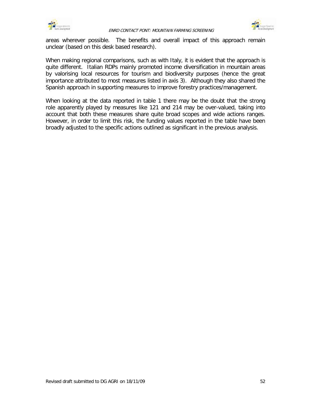



areas wherever possible. The benefits and overall impact of this approach remain unclear (based on this desk based research).

When making regional comparisons, such as with Italy, it is evident that the approach is quite different. Italian RDPs mainly promoted income diversification in mountain areas by valorising local resources for tourism and biodiversity purposes (hence the great importance attributed to most measures listed in axis 3). Although they also shared the Spanish approach in supporting measures to improve forestry practices/management.

When looking at the data reported in table 1 there may be the doubt that the strong role apparently played by measures like 121 and 214 may be over-valued, taking into account that both these measures share quite broad scopes and wide actions ranges. However, in order to limit this risk, the funding values reported in the table have been broadly adjusted to the specific actions outlined as significant in the previous analysis.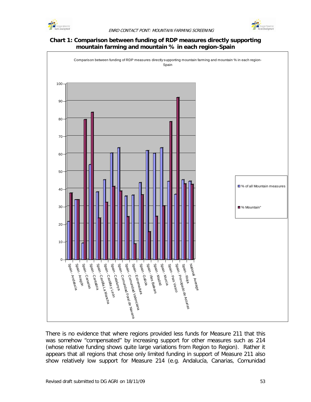



### **Chart 1: Comparison between funding of RDP measures directly supporting mountain farming and mountain % in each region-Spain**



There is no evidence that where regions provided less funds for Measure 211 that this was somehow "compensated" by increasing support for other measures such as 214 (whose relative funding shows quite large variations from Region to Region). Rather it appears that all regions that chose only limited funding in support of Measure 211 also show relatively low support for Measure 214 (e.g. Andalucía, Canarias, Comunidad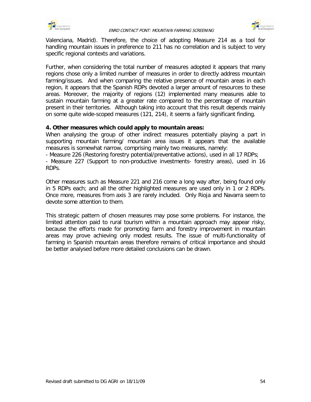



Valenciana, Madrid). Therefore, the choice of adopting Measure 214 as a tool for handling mountain issues in preference to 211 has no correlation and is subject to very specific regional contexts and variations.

Further, when considering the total number of measures adopted it appears that many regions chose only a limited number of measures in order to directly address mountain farming/issues. And when comparing the relative presence of mountain areas in each region, it appears that the Spanish RDPs devoted a larger amount of resources to these areas. Moreover, the majority of regions (12) implemented many measures able to sustain mountain farming at a greater rate compared to the percentage of mountain present in their territories. Although taking into account that this result depends mainly on some quite wide-scoped measures (121, 214), it seems a fairly significant finding.

#### **4. Other measures which could apply to mountain areas:**

When analysing the group of other indirect measures potentially playing a part in supporting mountain farming/ mountain area issues it appears that the available measures is somewhat narrow, comprising mainly two measures, namely:

- Measure 226 (Restoring forestry potential/preventative actions), used in all 17 RDPs;

- Measure 227 (Support to non-productive investments- forestry areas), used in 16 RDPs.

Other measures such as Measure 221 and 216 come a long way after, being found only in 5 RDPs each; and all the other highlighted measures are used only in 1 or 2 RDPs. Once more, measures from axis 3 are rarely included. Only Rioja and Navarra seem to devote some attention to them.

This strategic pattern of chosen measures may pose some problems. For instance, the limited attention paid to rural tourism within a mountain approach may appear risky, because the efforts made for promoting farm and forestry improvement in mountain areas may prove achieving only modest results. The issue of multi-functionality of farming in Spanish mountain areas therefore remains of critical importance and should be better analysed before more detailed conclusions can be drawn.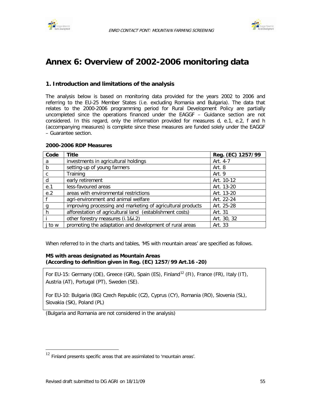



# **Annex 6: Overview of 2002-2006 monitoring data**

### **1. Introduction and limitations of the analysis**

The analysis below is based on monitoring data provided for the years 2002 to 2006 and referring to the EU-25 Member States (i.e. excluding Romania and Bulgaria). The data that relates to the 2000-2006 programming period for Rural Development Policy are partially uncompleted since the operations financed under the EAGGF – Guidance section are not considered. In this regard, only the information provided for measures d, e.1, e.2, f and h (accompanying measures) is complete since these measures are funded solely under the EAGGF – Guarantee section.

#### **2000-2006 RDP Measures**

| Code   | <b>Title</b>                                                | Reg. (EC) 1257/99 |
|--------|-------------------------------------------------------------|-------------------|
| a      | investments in agricultural holdings                        | Art. 4-7          |
| b      | setting-up of young farmers                                 | Art. 8            |
| C      | Training                                                    | Art. 9            |
| d      | early retirement                                            | Art. 10-12        |
| e.1    | less-favoured areas                                         | Art. 13-20        |
| e.2    | areas with environmental restrictions                       | Art. 13-20        |
|        | agri-environment and animal welfare                         | Art. 22-24        |
|        | improving processing and marketing of agricultural products | Art. 25-28        |
| h      | afforestation of agricultural land (establishment costs)    | Art. 31           |
|        | other forestry measures (i.1&i.2)                           | Art. 30, 32       |
| j to w | promoting the adaptation and development of rural areas     | Art. 33           |

When referred to in the charts and tables, 'MS with mountain areas' are specified as follows.

#### **MS with areas designated as Mountain Areas (According to definition given in Reg. (EC) 1257/99 Art.16 -20)**

For EU-15: Germany (DE), Greece (GR), Spain (ES), Finland<sup>[12](#page-60-0)</sup> (FI), France (FR), Italy (IT), Austria (AT), Portugal (PT), Sweden (SE).

For EU-10: Bulgaria (BG) Czech Republic (CZ), Cyprus (CY), Romania (RO), Slovenia (SL), Slovakia (SK), Poland (PL)

(Bulgaria and Romania are not considered in the analysis)

<span id="page-60-0"></span> $^{12}$  Finland presents specific areas that are assimilated to 'mountain areas'.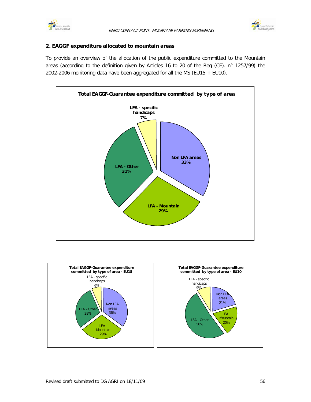



#### **2. EAGGF expenditure allocated to mountain areas**

To provide an overview of the allocation of the public expenditure committed to the Mountain areas (according to the definition given by Articles 16 to 20 of the Reg (CE). n° 1257/99) the 2002-2006 monitoring data have been aggregated for all the MS (EU15 + EU10).



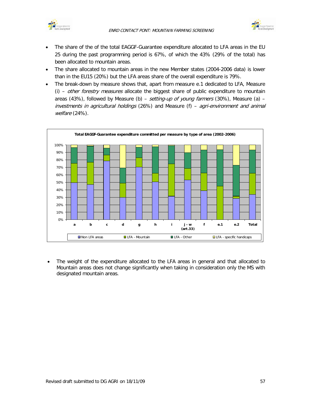



- The share of the of the total EAGGF-Guarantee expenditure allocated to LFA areas in the EU 25 during the past programming period is 67%, of which the 43% (29% of the total) has been allocated to mountain areas.
- The share allocated to mountain areas in the new Member states (2004-2006 data) is lower than in the EU15 (20%) but the LFA areas share of the overall expenditure is 79%.
- The break-down by measure shows that, apart from measure e.1 dedicated to LFA, Measure (i) - other forestry measures allocate the biggest share of public expenditure to mountain areas (43%), followed by Measure (b) – setting-up of young farmers (30%), Measure (a) –  $investments$  in agricultural holdings (26%) and Measure (f) – agri-environment and animal welfare (24%).



• The weight of the expenditure allocated to the LFA areas in general and that allocated to Mountain areas does not change significantly when taking in consideration only the MS with designated mountain areas.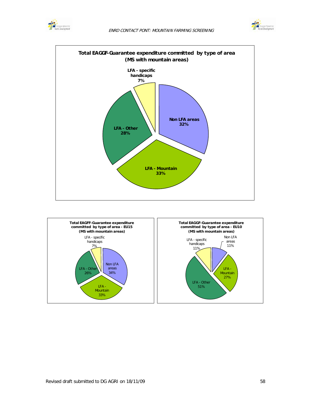





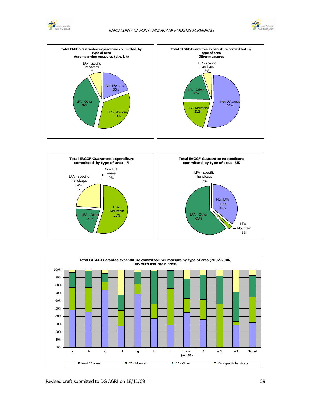







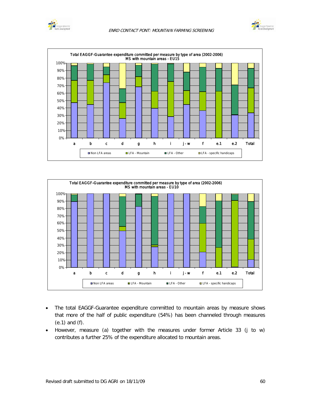







- The total EAGGF-Guarantee expenditure committed to mountain areas by measure shows that more of the half of public expenditure (54%) has been channeled through measures (e.1) and (f).
- However, measure (a) together with the measures under former Article 33 (j to w) contributes a further 25% of the expenditure allocated to mountain areas.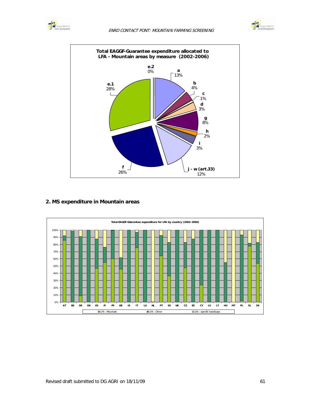





#### **2. MS expenditure in Mountain areas**

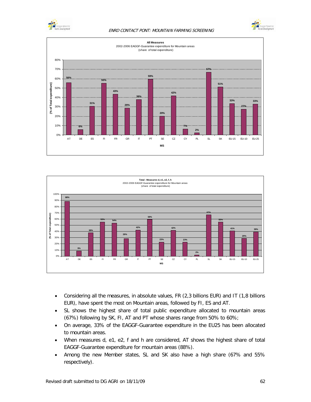

#### ENRD CONTACT PONT: MOUNTAIN FARMING SCREENING







- Considering all the measures, in absolute values, FR (2,3 billions EUR) and IT (1,8 billions EUR), have spent the most on Mountain areas, followed by FI, ES and AT.
- SL shows the highest share of total public expenditure allocated to mountain areas (67%) following by SK, FI, AT and PT whose shares range from 50% to 60%;
- On average, 33% of the EAGGF-Guarantee expenditure in the EU25 has been allocated to mountain areas.
- When measures d, e1, e2, f and h are considered, AT shows the highest share of total EAGGF-Guarantee expenditure for mountain areas (88%).
- Among the new Member states, SL and SK also have a high share (67% and 55% respectively).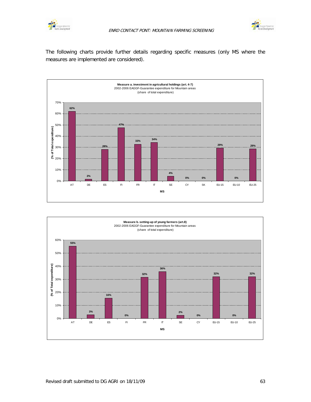



The following charts provide further details regarding specific measures (only MS where the measures are implemented are considered).



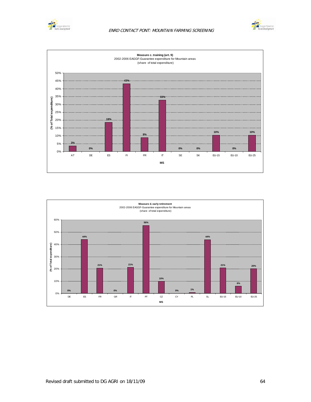





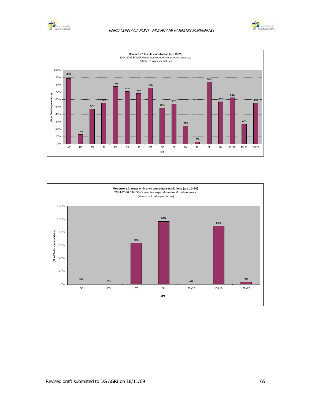





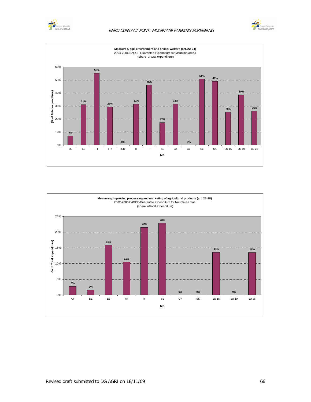

#### ENRD CONTACT PONT: MOUNTAIN FARMING SCREENING





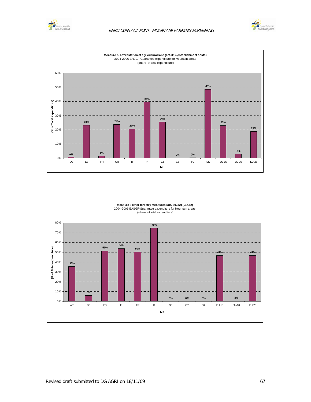





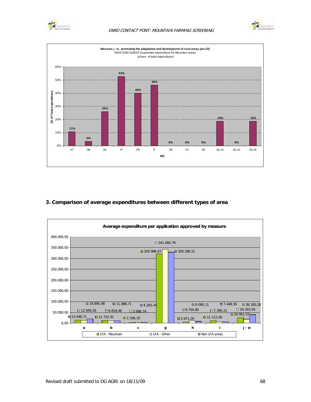

## ENRD CONTACT PONT: MOUNTAIN FARMING SCREENING





## **3. Comparison of average expenditures between different types of area**

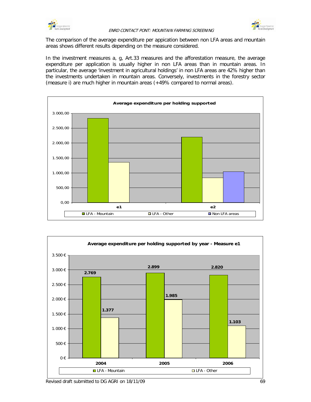



The comparison of the average expenditure per appication between non LFA areas and mountain areas shows different results depending on the measure considered.

In the investment measures a, g, Art.33 measures and the afforestation measure, the average expenditure per application is usually higher in non LFA areas than in mountain areas. In particular, the average 'investment in agricultural holdings' in non LFA areas are 42% higher than the investments undertaken in mountain areas. Conversely, investments in the forestry sector (measure i) are much higher in mountain areas (+49% compared to normal areas).



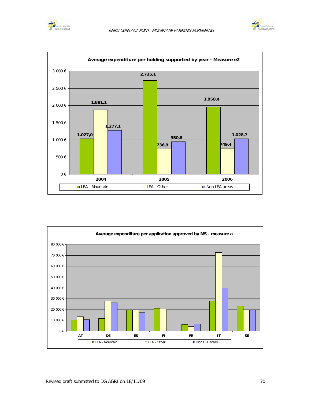





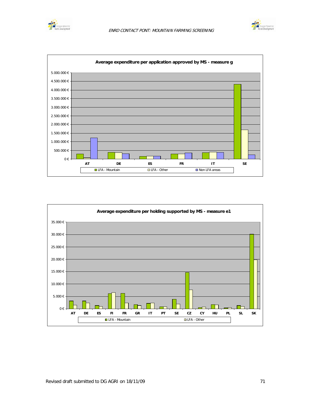





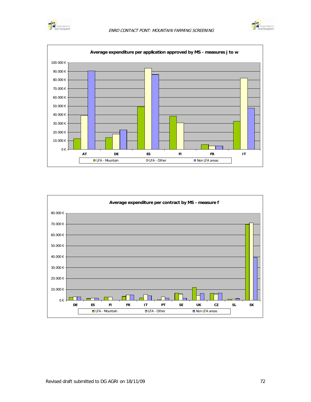